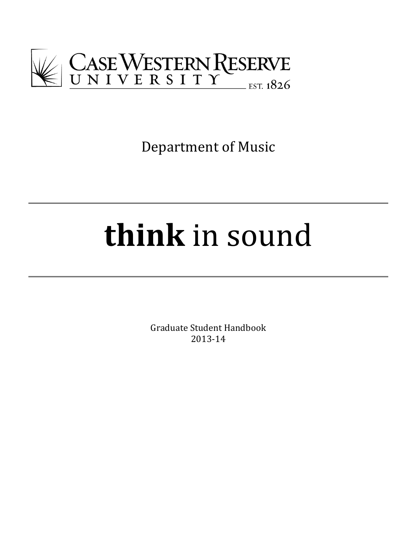

Department of Music

# **think** in sound

Graduate Student Handbook 2013-14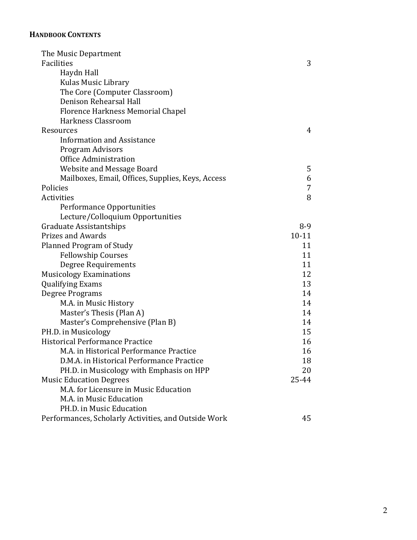# **HANDBOOK CONTENTS**

| The Music Department                                 |           |
|------------------------------------------------------|-----------|
| Facilities                                           | 3         |
| Haydn Hall                                           |           |
| Kulas Music Library                                  |           |
| The Core (Computer Classroom)                        |           |
| Denison Rehearsal Hall                               |           |
| Florence Harkness Memorial Chapel                    |           |
| Harkness Classroom                                   |           |
| Resources                                            | 4         |
| <b>Information and Assistance</b>                    |           |
| Program Advisors                                     |           |
| Office Administration                                |           |
| <b>Website and Message Board</b>                     | 5         |
| Mailboxes, Email, Offices, Supplies, Keys, Access    | 6         |
| Policies                                             | 7         |
| Activities                                           | 8         |
| Performance Opportunities                            |           |
| Lecture/Colloquium Opportunities                     |           |
| Graduate Assistantships                              | $8-9$     |
| <b>Prizes and Awards</b>                             | $10 - 11$ |
| Planned Program of Study                             | 11        |
| <b>Fellowship Courses</b>                            | 11        |
| Degree Requirements                                  | 11        |
| <b>Musicology Examinations</b>                       | 12        |
| <b>Qualifying Exams</b>                              | 13        |
| Degree Programs                                      | 14        |
| M.A. in Music History                                | 14        |
| Master's Thesis (Plan A)                             | 14        |
| Master's Comprehensive (Plan B)                      | 14        |
| PH.D. in Musicology                                  | 15        |
| Historical Performance Practice                      | 16        |
| M.A. in Historical Performance Practice              | 16        |
| D.M.A. in Historical Performance Practice            | 18        |
| PH.D. in Musicology with Emphasis on HPP             | 20        |
| <b>Music Education Degrees</b>                       | 25-44     |
| M.A. for Licensure in Music Education                |           |
| M.A. in Music Education                              |           |
| PH.D. in Music Education                             |           |
| Performances, Scholarly Activities, and Outside Work | 45        |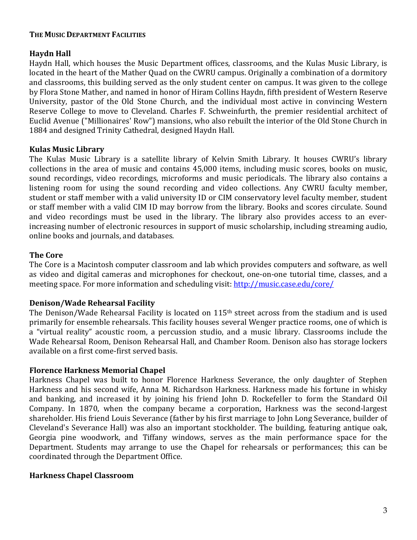#### **THE MUSIC DEPARTMENT FACILITIES**

# **Haydn Hall**

Haydn Hall, which houses the Music Department offices, classrooms, and the Kulas Music Library, is located in the heart of the Mather Quad on the CWRU campus. Originally a combination of a dormitory and classrooms, this building served as the only student center on campus. It was given to the college by Flora Stone Mather, and named in honor of Hiram Collins Haydn, fifth president of Western Reserve University, pastor of the Old Stone Church, and the individual most active in convincing Western Reserve College to move to Cleveland. Charles F. Schweinfurth, the premier residential architect of Euclid Avenue ("Millionaires' Row") mansions, who also rebuilt the interior of the Old Stone Church in 1884 and designed Trinity Cathedral, designed Haydn Hall.

## **Kulas Music Library**

The Kulas Music Library is a satellite library of Kelvin Smith Library. It houses CWRU's library collections in the area of music and contains 45,000 items, including music scores, books on music, sound recordings, video recordings, microforms and music periodicals. The library also contains a listening room for using the sound recording and video collections. Any CWRU faculty member, student or staff member with a valid university ID or CIM conservatory level faculty member, student or staff member with a valid CIM ID may borrow from the library. Books and scores circulate. Sound and video recordings must be used in the library. The library also provides access to an everincreasing number of electronic resources in support of music scholarship, including streaming audio, online books and journals, and databases.

# **The Core**

The Core is a Macintosh computer classroom and lab which provides computers and software, as well as video and digital cameras and microphones for checkout, one-on-one tutorial time, classes, and a meeting space. For more information and scheduling visit: http://music.case.edu/core/

## **Denison/Wade Rehearsal Facility**

The Denison/Wade Rehearsal Facility is located on  $115<sup>th</sup>$  street across from the stadium and is used primarily for ensemble rehearsals. This facility houses several Wenger practice rooms, one of which is a "virtual reality" acoustic room, a percussion studio, and a music library. Classrooms include the Wade Rehearsal Room, Denison Rehearsal Hall, and Chamber Room. Denison also has storage lockers available on a first come-first served basis.

## **Florence Harkness Memorial Chapel**

Harkness Chapel was built to honor Florence Harkness Severance, the only daughter of Stephen Harkness and his second wife, Anna M. Richardson Harkness. Harkness made his fortune in whisky and banking, and increased it by joining his friend John D. Rockefeller to form the Standard Oil Company. In 1870, when the company became a corporation, Harkness was the second-largest shareholder. His friend Louis Severance (father by his first marriage to John Long Severance, builder of Cleveland's Severance Hall) was also an important stockholder. The building, featuring antique oak, Georgia pine woodwork, and Tiffany windows, serves as the main performance space for the Department. Students may arrange to use the Chapel for rehearsals or performances; this can be coordinated through the Department Office.

## **Harkness Chapel Classroom**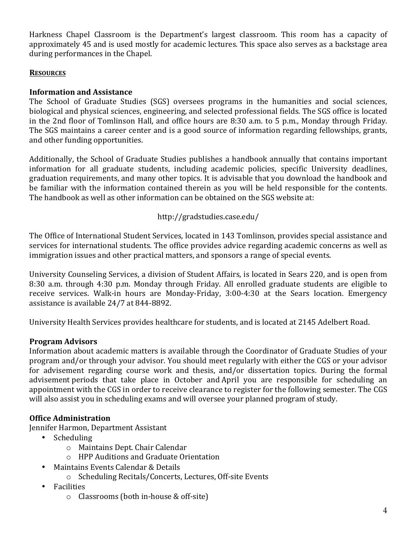Harkness Chapel Classroom is the Department's largest classroom. This room has a capacity of approximately 45 and is used mostly for academic lectures. This space also serves as a backstage area during performances in the Chapel.

# **RESOURCES**

# **Information and Assistance**

The School of Graduate Studies (SGS) oversees programs in the humanities and social sciences, biological and physical sciences, engineering, and selected professional fields. The SGS office is located in the 2nd floor of Tomlinson Hall, and office hours are  $8:30$  a.m. to 5 p.m., Monday through Friday. The SGS maintains a career center and is a good source of information regarding fellowships, grants, and other funding opportunities.

Additionally, the School of Graduate Studies publishes a handbook annually that contains important information for all graduate students, including academic policies, specific University deadlines, graduation requirements, and many other topics. It is advisable that you download the handbook and be familiar with the information contained therein as you will be held responsible for the contents. The handbook as well as other information can be obtained on the SGS website at:

# http://gradstudies.case.edu/

The Office of International Student Services, located in 143 Tomlinson, provides special assistance and services for international students. The office provides advice regarding academic concerns as well as immigration issues and other practical matters, and sponsors a range of special events.

University Counseling Services, a division of Student Affairs, is located in Sears 220, and is open from 8:30 a.m. through 4:30 p.m. Monday through Friday. All enrolled graduate students are eligible to receive services. Walk-in hours are Monday-Friday, 3:00-4:30 at the Sears location. Emergency assistance is available 24/7 at 844-8892.

University Health Services provides healthcare for students, and is located at 2145 Adelbert Road.

# **Program Advisors**

Information about academic matters is available through the Coordinator of Graduate Studies of your program and/or through your advisor. You should meet regularly with either the CGS or your advisor for advisement regarding course work and thesis, and/or dissertation topics. During the formal advisement periods that take place in October and April you are responsible for scheduling an appointment with the CGS in order to receive clearance to register for the following semester. The CGS will also assist you in scheduling exams and will oversee your planned program of study.

# **Office Administration**

Jennifer Harmon, Department Assistant

- Scheduling
	- o Maintains Dept. Chair Calendar
	- o HPP Auditions and Graduate Orientation
- Maintains Events Calendar & Details
	- o Scheduling Recitals/Concerts, Lectures, Off-site Events
- Facilities
	- $\circ$  Classrooms (both in-house & off-site)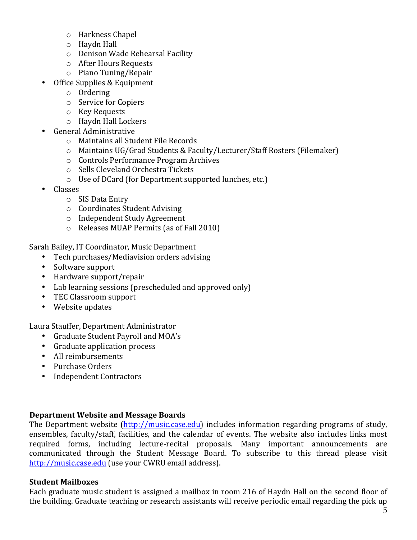- o Harkness Chapel
- $\circ$  Haydn Hall
- o Denison Wade Rehearsal Facility
- $\circ$  After Hours Requests
- o Piano Tuning/Repair
- Office Supplies & Equipment
	- o Ordering
	- o Service for Copiers
	- o Key Requests
	- o Haydn Hall Lockers
- General Administrative
	- o Maintains all Student File Records
	- o Maintains UG/Grad Students & Faculty/Lecturer/Staff Rosters (Filemaker)
	- o Controls Performance Program Archives
	- o Sells Cleveland Orchestra Tickets
	- $\circ$  Use of DCard (for Department supported lunches, etc.)
- Classes
	- o SIS Data Entry
	- o Coordinates Student Advising
	- o Independent Study Agreement
	- $\circ$  Releases MUAP Permits (as of Fall 2010)

Sarah Bailey, IT Coordinator, Music Department

- Tech purchases/Mediavision orders advising
- Software support
- Hardware support/repair
- Lab learning sessions (prescheduled and approved only)
- TEC Classroom support
- Website updates

Laura Stauffer, Department Administrator

- Graduate Student Payroll and MOA's
- Graduate application process
- All reimbursements
- Purchase Orders
- Independent Contractors

# **Department Website and Message Boards**

The Department website (http://music.case.edu) includes information regarding programs of study, ensembles, faculty/staff, facilities, and the calendar of events. The website also includes links most required forms, including lecture-recital proposals. Many important announcements are communicated through the Student Message Board. To subscribe to this thread please visit http://music.case.edu (use your CWRU email address).

## **Student Mailboxes**

Each graduate music student is assigned a mailbox in room 216 of Haydn Hall on the second floor of the building. Graduate teaching or research assistants will receive periodic email regarding the pick up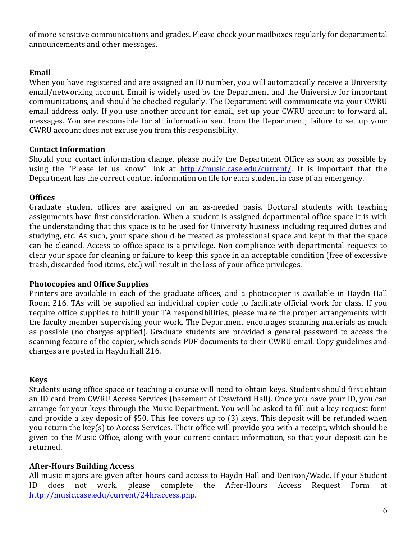of more sensitive communications and grades. Please check your mailboxes regularly for departmental announcements and other messages.

# **Email**

When you have registered and are assigned an ID number, you will automatically receive a University email/networking account. Email is widely used by the Department and the University for important communications, and should be checked regularly. The Department will communicate via your CWRU email address only. If you use another account for email, set up your CWRU account to forward all messages. You are responsible for all information sent from the Department; failure to set up your CWRU account does not excuse you from this responsibility.

# **Contact Information**

Should your contact information change, please notify the Department Office as soon as possible by using the "Please let us know" link at http://music.case.edu/current/. It is important that the Department has the correct contact information on file for each student in case of an emergency.

# **Offices**

Graduate student offices are assigned on an as-needed basis. Doctoral students with teaching assignments have first consideration. When a student is assigned departmental office space it is with the understanding that this space is to be used for University business including required duties and studying, etc. As such, your space should be treated as professional space and kept in that the space can be cleaned. Access to office space is a privilege. Non-compliance with departmental requests to clear your space for cleaning or failure to keep this space in an acceptable condition (free of excessive trash, discarded food items, etc.) will result in the loss of your office privileges.

## **Photocopies and Office Supplies**

Printers are available in each of the graduate offices, and a photocopier is available in Haydn Hall Room 216. TAs will be supplied an individual copier code to facilitate official work for class. If you require office supplies to fulfill your TA responsibilities, please make the proper arrangements with the faculty member supervising your work. The Department encourages scanning materials as much as possible (no charges applied). Graduate students are provided a general password to access the scanning feature of the copier, which sends PDF documents to their CWRU email. Copy guidelines and charges are posted in Haydn Hall 216.

## **Keys**

Students using office space or teaching a course will need to obtain keys. Students should first obtain an ID card from CWRU Access Services (basement of Crawford Hall). Once you have your ID, you can arrange for your keys through the Music Department. You will be asked to fill out a key request form and provide a key deposit of \$50. This fee covers up to  $(3)$  keys. This deposit will be refunded when you return the key(s) to Access Services. Their office will provide you with a receipt, which should be given to the Music Office, along with your current contact information, so that your deposit can be returned.

## **After-Hours Building Access**

All music majors are given after-hours card access to Haydn Hall and Denison/Wade. If your Student ID does not work, please complete the After-Hours Access Request Form at http://music.case.edu/current/24hraccess.php.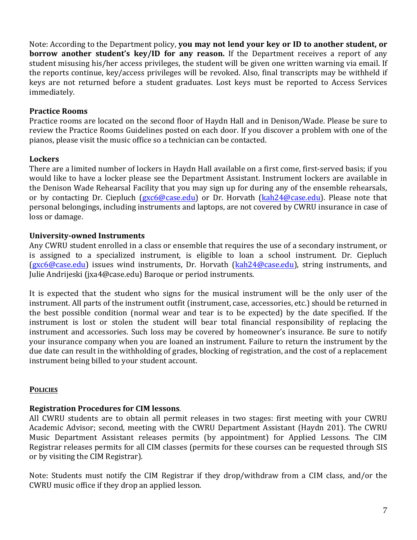Note: According to the Department policy, **you may not lend your key or ID to another student, or borrow** another student's key/ID for any reason. If the Department receives a report of any student misusing his/her access privileges, the student will be given one written warning via email. If the reports continue, key/access privileges will be revoked. Also, final transcripts may be withheld if keys are not returned before a student graduates. Lost keys must be reported to Access Services immediately.

# **Practice Rooms**

Practice rooms are located on the second floor of Haydn Hall and in Denison/Wade. Please be sure to review the Practice Rooms Guidelines posted on each door. If you discover a problem with one of the pianos, please visit the music office so a technician can be contacted.

## **Lockers**

There are a limited number of lockers in Haydn Hall available on a first come, first-served basis; if you would like to have a locker please see the Department Assistant. Instrument lockers are available in the Denison Wade Rehearsal Facility that you may sign up for during any of the ensemble rehearsals, or by contacting Dr. Ciepluch (gxc6@case.edu) or Dr. Horvath (kah24@case.edu). Please note that personal belongings, including instruments and laptops, are not covered by CWRU insurance in case of loss or damage.

# **University-owned Instruments**

Any CWRU student enrolled in a class or ensemble that requires the use of a secondary instrument, or is assigned to a specialized instrument, is eligible to loan a school instrument. Dr. Ciepluch (gxc6@case.edu) issues wind instruments, Dr. Horvath (kah24@case.edu), string instruments, and Julie Andrijeski (jxa4@case.edu) Baroque or period instruments.

It is expected that the student who signs for the musical instrument will be the only user of the instrument. All parts of the instrument outfit (instrument, case, accessories, etc.) should be returned in the best possible condition (normal wear and tear is to be expected) by the date specified. If the instrument is lost or stolen the student will bear total financial responsibility of replacing the instrument and accessories. Such loss may be covered by homeowner's insurance. Be sure to notify your insurance company when you are loaned an instrument. Failure to return the instrument by the due date can result in the withholding of grades, blocking of registration, and the cost of a replacement instrument being billed to your student account.

## **POLICIES**

# **Registration Procedures for CIM lessons.**

All CWRU students are to obtain all permit releases in two stages: first meeting with your CWRU Academic Advisor; second, meeting with the CWRU Department Assistant (Haydn 201). The CWRU Music Department Assistant releases permits (by appointment) for Applied Lessons. The CIM Registrar releases permits for all CIM classes (permits for these courses can be requested through SIS or by visiting the CIM Registrar).

Note: Students must notify the CIM Registrar if they drop/withdraw from a CIM class, and/or the CWRU music office if they drop an applied lesson.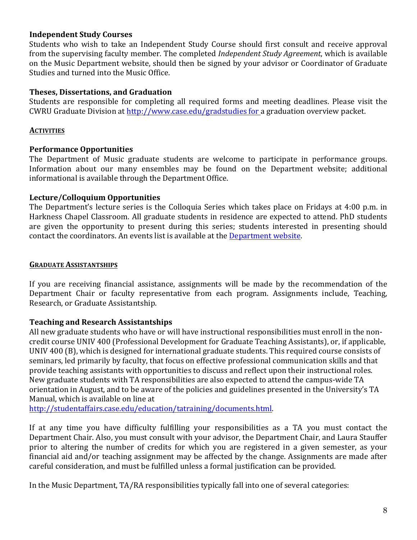# **Independent Study Courses**

Students who wish to take an Independent Study Course should first consult and receive approval from the supervising faculty member. The completed *Independent Study Agreement*, which is available on the Music Department website, should then be signed by your advisor or Coordinator of Graduate Studies and turned into the Music Office.

## **Theses, Dissertations, and Graduation**

Students are responsible for completing all required forms and meeting deadlines. Please visit the CWRU Graduate Division at http://www.case.edu/gradstudies for a graduation overview packet.

# **ACTIVITIES**

# **Performance Opportunities**

The Department of Music graduate students are welcome to participate in performance groups. Information about our many ensembles may be found on the Department website; additional informational is available through the Department Office.

# **Lecture/Colloquium Opportunities**

The Department's lecture series is the Colloquia Series which takes place on Fridays at 4:00 p.m. in Harkness Chapel Classroom. All graduate students in residence are expected to attend. PhD students are given the opportunity to present during this series; students interested in presenting should contact the coordinators. An events list is available at the Department website.

## **GRADUATE ASSISTANTSHIPS**

If you are receiving financial assistance, assignments will be made by the recommendation of the Department Chair or faculty representative from each program. Assignments include. Teaching. Research, or Graduate Assistantship.

## **Teaching and Research Assistantships**

All new graduate students who have or will have instructional responsibilities must enroll in the noncredit course UNIV 400 (Professional Development for Graduate Teaching Assistants), or, if applicable, UNIV 400 (B), which is designed for international graduate students. This required course consists of seminars, led primarily by faculty, that focus on effective professional communication skills and that provide teaching assistants with opportunities to discuss and reflect upon their instructional roles. New graduate students with TA responsibilities are also expected to attend the campus-wide TA orientation in August, and to be aware of the policies and guidelines presented in the University's TA Manual, which is available on line at

http://studentaffairs.case.edu/education/tatraining/documents.html.

If at any time you have difficulty fulfilling your responsibilities as a TA you must contact the Department Chair. Also, you must consult with your advisor, the Department Chair, and Laura Stauffer prior to altering the number of credits for which you are registered in a given semester, as your financial aid and/or teaching assignment may be affected by the change. Assignments are made after careful consideration, and must be fulfilled unless a formal justification can be provided.

In the Music Department, TA/RA responsibilities typically fall into one of several categories: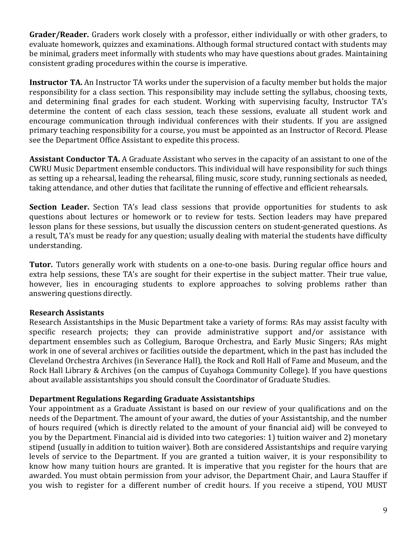**Grader/Reader.** Graders work closely with a professor, either individually or with other graders, to evaluate homework, quizzes and examinations. Although formal structured contact with students may be minimal, graders meet informally with students who may have questions about grades. Maintaining consistent grading procedures within the course is imperative.

**Instructor TA.** An Instructor TA works under the supervision of a faculty member but holds the major responsibility for a class section. This responsibility may include setting the syllabus, choosing texts, and determining final grades for each student. Working with supervising faculty, Instructor TA's determine the content of each class session, teach these sessions, evaluate all student work and encourage communication through individual conferences with their students. If you are assigned primary teaching responsibility for a course, you must be appointed as an Instructor of Record. Please see the Department Office Assistant to expedite this process.

**Assistant Conductor TA.** A Graduate Assistant who serves in the capacity of an assistant to one of the CWRU Music Department ensemble conductors. This individual will have responsibility for such things as setting up a rehearsal, leading the rehearsal, filing music, score study, running sectionals as needed, taking attendance, and other duties that facilitate the running of effective and efficient rehearsals.

**Section Leader.** Section TA's lead class sessions that provide opportunities for students to ask questions about lectures or homework or to review for tests. Section leaders may have prepared lesson plans for these sessions, but usually the discussion centers on student-generated questions. As a result, TA's must be ready for any question; usually dealing with material the students have difficulty understanding.

**Tutor.** Tutors generally work with students on a one-to-one basis. During regular office hours and extra help sessions, these TA's are sought for their expertise in the subject matter. Their true value, however, lies in encouraging students to explore approaches to solving problems rather than answering questions directly.

# **Research Assistants**

Research Assistantships in the Music Department take a variety of forms: RAs may assist faculty with specific research projects; they can provide administrative support and/or assistance with department ensembles such as Collegium, Baroque Orchestra, and Early Music Singers; RAs might work in one of several archives or facilities outside the department, which in the past has included the Cleveland Orchestra Archives (in Severance Hall), the Rock and Roll Hall of Fame and Museum, and the Rock Hall Library & Archives (on the campus of Cuyahoga Community College). If you have questions about available assistantships you should consult the Coordinator of Graduate Studies.

## **Department Regulations Regarding Graduate Assistantships**

Your appointment as a Graduate Assistant is based on our review of your qualifications and on the needs of the Department. The amount of your award, the duties of your Assistantship, and the number of hours required (which is directly related to the amount of your financial aid) will be conveyed to you by the Department. Financial aid is divided into two categories: 1) tuition waiver and 2) monetary stipend (usually in addition to tuition waiver). Both are considered Assistantships and require varying levels of service to the Department. If you are granted a tuition waiver, it is your responsibility to know how many tuition hours are granted. It is imperative that you register for the hours that are awarded. You must obtain permission from your advisor, the Department Chair, and Laura Stauffer if you wish to register for a different number of credit hours. If you receive a stipend, YOU MUST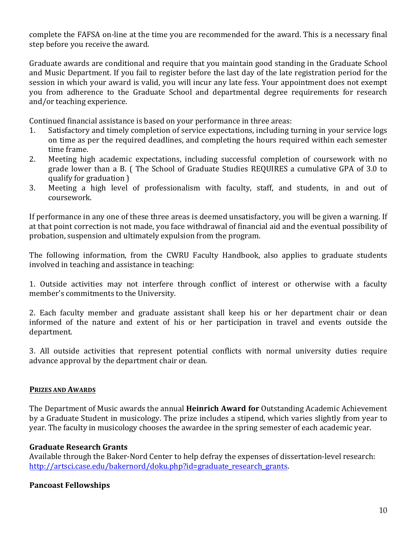complete the FAFSA on-line at the time you are recommended for the award. This is a necessary final step before you receive the award.

Graduate awards are conditional and require that you maintain good standing in the Graduate School and Music Department. If you fail to register before the last day of the late registration period for the session in which your award is valid, you will incur any late fess. Your appointment does not exempt you from adherence to the Graduate School and departmental degree requirements for research and/or teaching experience.

Continued financial assistance is based on your performance in three areas:

- 1. Satisfactory and timely completion of service expectations, including turning in your service logs on time as per the required deadlines, and completing the hours required within each semester time frame.
- 2. Meeting high academic expectations, including successful completion of coursework with no grade lower than a B. ( The School of Graduate Studies REQUIRES a cumulative GPA of 3.0 to qualify for graduation  $\overline{a}$
- 3. Meeting a high level of professionalism with faculty, staff, and students, in and out of coursework.

If performance in any one of these three areas is deemed unsatisfactory, you will be given a warning. If at that point correction is not made, you face withdrawal of financial aid and the eventual possibility of probation, suspension and ultimately expulsion from the program.

The following information, from the CWRU Faculty Handbook, also applies to graduate students involved in teaching and assistance in teaching:

1. Outside activities may not interfere through conflict of interest or otherwise with a faculty member's commitments to the University.

2. Each faculty member and graduate assistant shall keep his or her department chair or dean informed of the nature and extent of his or her participation in travel and events outside the department. 

3. All outside activities that represent potential conflicts with normal university duties require advance approval by the department chair or dean.

## **PRIZES AND AWARDS**

The Department of Music awards the annual **Heinrich Award for** Outstanding Academic Achievement by a Graduate Student in musicology. The prize includes a stipend, which varies slightly from year to year. The faculty in musicology chooses the awardee in the spring semester of each academic year.

## **Graduate Research Grants**

Available through the Baker-Nord Center to help defray the expenses of dissertation-level research: http://artsci.case.edu/bakernord/doku.php?id=graduate\_research\_grants.

# **Pancoast Fellowships**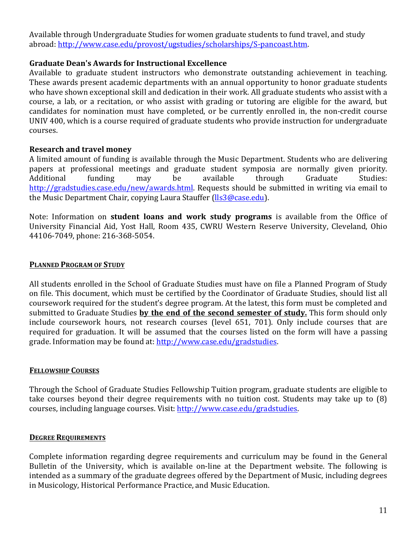Available through Undergraduate Studies for women graduate students to fund travel, and study abroad: http://www.case.edu/provost/ugstudies/scholarships/S-pancoast.htm.

# Graduate Dean's Awards for Instructional Excellence

Available to graduate student instructors who demonstrate outstanding achievement in teaching. These awards present academic departments with an annual opportunity to honor graduate students who have shown exceptional skill and dedication in their work. All graduate students who assist with a course, a lab, or a recitation, or who assist with grading or tutoring are eligible for the award, but candidates for nomination must have completed, or be currently enrolled in, the non-credit course UNIV 400, which is a course required of graduate students who provide instruction for undergraduate courses.

# **Research and travel money**

A limited amount of funding is available through the Music Department. Students who are delivering papers at professional meetings and graduate student symposia are normally given priority. Additional funding may be available through Graduate Studies: http://gradstudies.case.edu/new/awards.html. Requests should be submitted in writing via email to the Music Department Chair, copying Laura Stauffer (Ils3@case.edu).

Note: Information on **student loans and work study programs** is available from the Office of University Financial Aid, Yost Hall, Room 435, CWRU Western Reserve University, Cleveland, Ohio 44106-7049, phone: 216-368-5054.

## **PLANNED PROGRAM OF STUDY**

All students enrolled in the School of Graduate Studies must have on file a Planned Program of Study on file. This document, which must be certified by the Coordinator of Graduate Studies, should list all coursework required for the student's degree program. At the latest, this form must be completed and submitted to Graduate Studies **by the end of the second semester of study.** This form should only include coursework hours, not research courses (level 651, 701). Only include courses that are required for graduation. It will be assumed that the courses listed on the form will have a passing grade. Information may be found at: http://www.case.edu/gradstudies.

## **FELLOWSHIP COURSES**

Through the School of Graduate Studies Fellowship Tuition program, graduate students are eligible to take courses beyond their degree requirements with no tuition cost. Students may take up to  $(8)$ courses, including language courses. Visit: http://www.case.edu/gradstudies.

## **DEGREE REQUIREMENTS**

Complete information regarding degree requirements and curriculum may be found in the General Bulletin of the University, which is available on-line at the Department website. The following is intended as a summary of the graduate degrees offered by the Department of Music, including degrees in Musicology, Historical Performance Practice, and Music Education.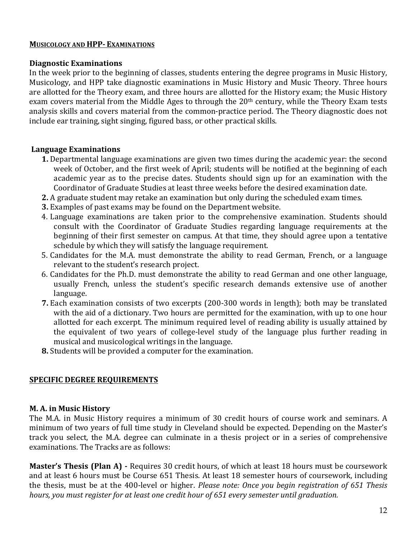#### **MUSICOLOGY AND HPP- EXAMINATIONS**

#### **Diagnostic Examinations**

In the week prior to the beginning of classes, students entering the degree programs in Music History, Musicology, and HPP take diagnostic examinations in Music History and Music Theory. Three hours are allotted for the Theory exam, and three hours are allotted for the History exam; the Music History exam covers material from the Middle Ages to through the  $20<sup>th</sup>$  century, while the Theory Exam tests analysis skills and covers material from the common-practice period. The Theory diagnostic does not include ear training, sight singing, figured bass, or other practical skills.

## **Language Examinations**

- **1.** Departmental language examinations are given two times during the academic year: the second week of October, and the first week of April; students will be notified at the beginning of each academic year as to the precise dates. Students should sign up for an examination with the Coordinator of Graduate Studies at least three weeks before the desired examination date.
- **2.** A graduate student may retake an examination but only during the scheduled exam times.
- **3.** Examples of past exams may be found on the Department website.
- 4. Language examinations are taken prior to the comprehensive examination. Students should consult with the Coordinator of Graduate Studies regarding language requirements at the beginning of their first semester on campus. At that time, they should agree upon a tentative schedule by which they will satisfy the language requirement.
- 5. Candidates for the M.A. must demonstrate the ability to read German, French, or a language relevant to the student's research project.
- 6. Candidates for the Ph.D. must demonstrate the ability to read German and one other language, usually French, unless the student's specific research demands extensive use of another language.
- **7.** Each examination consists of two excerpts (200-300 words in length); both may be translated with the aid of a dictionary. Two hours are permitted for the examination, with up to one hour allotted for each excerpt. The minimum required level of reading ability is usually attained by the equivalent of two years of college-level study of the language plus further reading in musical and musicological writings in the language.
- **8.** Students will be provided a computer for the examination.

# **SPECIFIC DEGREE REQUIREMENTS**

## **M. A. in Music History**

The M.A. in Music History requires a minimum of 30 credit hours of course work and seminars. A minimum of two years of full time study in Cleveland should be expected. Depending on the Master's track you select, the M.A. degree can culminate in a thesis project or in a series of comprehensive examinations. The Tracks are as follows:

**Master's Thesis (Plan A) -** Requires 30 credit hours, of which at least 18 hours must be coursework and at least 6 hours must be Course 651 Thesis. At least 18 semester hours of coursework, including the thesis, must be at the 400-level or higher. *Please note: Once you begin registration of 651 Thesis hours, you must register for at least one credit hour of 651 every semester until graduation.*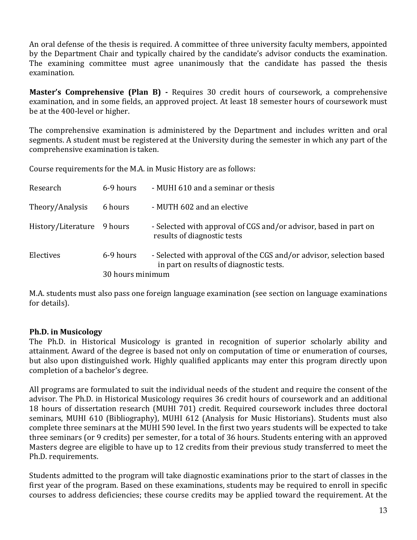An oral defense of the thesis is required. A committee of three university faculty members, appointed by the Department Chair and typically chaired by the candidate's advisor conducts the examination. The examining committee must agree unanimously that the candidate has passed the thesis examination.

**Master's Comprehensive (Plan B) -** Requires 30 credit hours of coursework, a comprehensive examination, and in some fields, an approved project. At least 18 semester hours of coursework must be at the 400-level or higher.

The comprehensive examination is administered by the Department and includes written and oral segments. A student must be registered at the University during the semester in which any part of the comprehensive examination is taken.

Course requirements for the M.A. in Music History are as follows:

| Research                   | 6-9 hours        | - MUHI 610 and a seminar or thesis                                                                             |  |  |
|----------------------------|------------------|----------------------------------------------------------------------------------------------------------------|--|--|
| Theory/Analysis            | 6 hours          | - MUTH 602 and an elective                                                                                     |  |  |
| History/Literature 9 hours |                  | - Selected with approval of CGS and/or advisor, based in part on<br>results of diagnostic tests                |  |  |
| Electives                  | 6-9 hours        | - Selected with approval of the CGS and/or advisor, selection based<br>in part on results of diagnostic tests. |  |  |
|                            | 30 hours minimum |                                                                                                                |  |  |

M.A. students must also pass one foreign language examination (see section on language examinations for details).

# **Ph.D.** in Musicology

The Ph.D. in Historical Musicology is granted in recognition of superior scholarly ability and attainment. Award of the degree is based not only on computation of time or enumeration of courses, but also upon distinguished work. Highly qualified applicants may enter this program directly upon completion of a bachelor's degree.

All programs are formulated to suit the individual needs of the student and require the consent of the advisor. The Ph.D. in Historical Musicology requires 36 credit hours of coursework and an additional 18 hours of dissertation research (MUHI 701) credit. Required coursework includes three doctoral seminars, MUHI 610 (Bibliography), MUHI 612 (Analysis for Music Historians). Students must also complete three seminars at the MUHI 590 level. In the first two years students will be expected to take three seminars (or 9 credits) per semester, for a total of 36 hours. Students entering with an approved Masters degree are eligible to have up to 12 credits from their previous study transferred to meet the Ph.D. requirements.

Students admitted to the program will take diagnostic examinations prior to the start of classes in the first year of the program. Based on these examinations, students may be required to enroll in specific courses to address deficiencies; these course credits may be applied toward the requirement. At the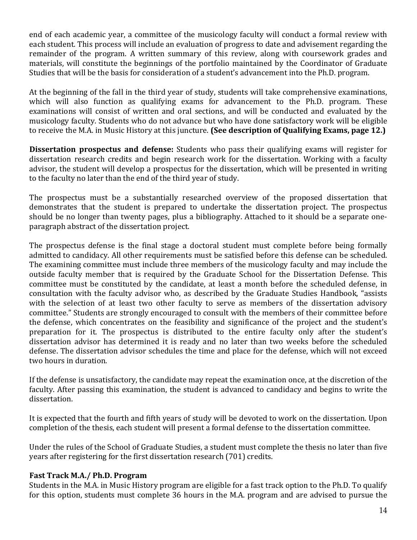end of each academic year, a committee of the musicology faculty will conduct a formal review with each student. This process will include an evaluation of progress to date and advisement regarding the remainder of the program. A written summary of this review, along with coursework grades and materials, will constitute the beginnings of the portfolio maintained by the Coordinator of Graduate Studies that will be the basis for consideration of a student's advancement into the Ph.D. program.

At the beginning of the fall in the third year of study, students will take comprehensive examinations, which will also function as qualifying exams for advancement to the Ph.D. program. These examinations will consist of written and oral sections, and will be conducted and evaluated by the musicology faculty. Students who do not advance but who have done satisfactory work will be eligible to receive the M.A. in Music History at this juncture. **(See description of Qualifying Exams, page 12.)** 

**Dissertation prospectus and defense:** Students who pass their qualifying exams will register for dissertation research credits and begin research work for the dissertation. Working with a faculty advisor, the student will develop a prospectus for the dissertation, which will be presented in writing to the faculty no later than the end of the third year of study.

The prospectus must be a substantially researched overview of the proposed dissertation that demonstrates that the student is prepared to undertake the dissertation project. The prospectus should be no longer than twenty pages, plus a bibliography. Attached to it should be a separate oneparagraph abstract of the dissertation project.

The prospectus defense is the final stage a doctoral student must complete before being formally admitted to candidacy. All other requirements must be satisfied before this defense can be scheduled. The examining committee must include three members of the musicology faculty and may include the outside faculty member that is required by the Graduate School for the Dissertation Defense. This committee must be constituted by the candidate, at least a month before the scheduled defense, in consultation with the faculty advisor who, as described by the Graduate Studies Handbook, "assists with the selection of at least two other faculty to serve as members of the dissertation advisory committee." Students are strongly encouraged to consult with the members of their committee before the defense, which concentrates on the feasibility and significance of the project and the student's preparation for it. The prospectus is distributed to the entire faculty only after the student's dissertation advisor has determined it is ready and no later than two weeks before the scheduled defense. The dissertation advisor schedules the time and place for the defense, which will not exceed two hours in duration.

If the defense is unsatisfactory, the candidate may repeat the examination once, at the discretion of the faculty. After passing this examination, the student is advanced to candidacy and begins to write the dissertation.

It is expected that the fourth and fifth years of study will be devoted to work on the dissertation. Upon completion of the thesis, each student will present a formal defense to the dissertation committee.

Under the rules of the School of Graduate Studies, a student must complete the thesis no later than five years after registering for the first dissertation research (701) credits.

# **Fast Track M.A./ Ph.D. Program**

Students in the M.A. in Music History program are eligible for a fast track option to the Ph.D. To qualify for this option, students must complete 36 hours in the M.A. program and are advised to pursue the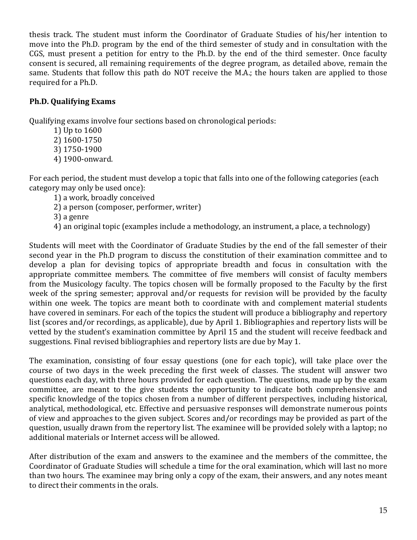thesis track. The student must inform the Coordinator of Graduate Studies of his/her intention to move into the Ph.D. program by the end of the third semester of study and in consultation with the CGS, must present a petition for entry to the Ph.D. by the end of the third semester. Once faculty consent is secured, all remaining requirements of the degree program, as detailed above, remain the same. Students that follow this path do NOT receive the M.A.; the hours taken are applied to those required for a Ph.D.

# **Ph.D. Qualifying Exams**

Qualifying exams involve four sections based on chronological periods:

- 1) Up to 1600
- 2) 1600-1750
- 3) 1750-1900
- 4) 1900-onward.

For each period, the student must develop a topic that falls into one of the following categories (each category may only be used once):

- 1) a work, broadly conceived
- 2) a person (composer, performer, writer)

3) a genre

4) an original topic (examples include a methodology, an instrument, a place, a technology)

Students will meet with the Coordinator of Graduate Studies by the end of the fall semester of their second year in the Ph.D program to discuss the constitution of their examination committee and to develop a plan for devising topics of appropriate breadth and focus in consultation with the appropriate committee members. The committee of five members will consist of faculty members from the Musicology faculty. The topics chosen will be formally proposed to the Faculty by the first week of the spring semester; approval and/or requests for revision will be provided by the faculty within one week. The topics are meant both to coordinate with and complement material students have covered in seminars. For each of the topics the student will produce a bibliography and repertory list (scores and/or recordings, as applicable), due by April 1. Bibliographies and repertory lists will be vetted by the student's examination committee by April 15 and the student will receive feedback and suggestions. Final revised bibliographies and repertory lists are due by May 1.

The examination, consisting of four essay questions (one for each topic), will take place over the course of two days in the week preceding the first week of classes. The student will answer two questions each day, with three hours provided for each question. The questions, made up by the exam committee, are meant to the give students the opportunity to indicate both comprehensive and specific knowledge of the topics chosen from a number of different perspectives, including historical, analytical, methodological, etc. Effective and persuasive responses will demonstrate numerous points of view and approaches to the given subject. Scores and/or recordings may be provided as part of the question, usually drawn from the repertory list. The examinee will be provided solely with a laptop; no additional materials or Internet access will be allowed.

After distribution of the exam and answers to the examinee and the members of the committee, the Coordinator of Graduate Studies will schedule a time for the oral examination, which will last no more than two hours. The examinee may bring only a copy of the exam, their answers, and any notes meant to direct their comments in the orals.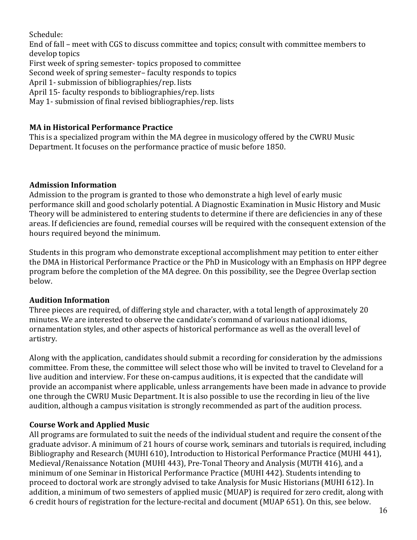Schedule:

End of fall – meet with CGS to discuss committee and topics; consult with committee members to develop topics

First week of spring semester- topics proposed to committee

Second week of spring semester-faculty responds to topics

April 1- submission of bibliographies/rep. lists

April 15- faculty responds to bibliographies/rep. lists

May 1- submission of final revised bibliographies/rep. lists

# **MA** in Historical Performance Practice

This is a specialized program within the MA degree in musicology offered by the CWRU Music Department. It focuses on the performance practice of music before 1850.

# **Admission Information**

Admission to the program is granted to those who demonstrate a high level of early music performance skill and good scholarly potential. A Diagnostic Examination in Music History and Music Theory will be administered to entering students to determine if there are deficiencies in any of these areas. If deficiencies are found, remedial courses will be required with the consequent extension of the hours required beyond the minimum.

Students in this program who demonstrate exceptional accomplishment may petition to enter either the DMA in Historical Performance Practice or the PhD in Musicology with an Emphasis on HPP degree program before the completion of the MA degree. On this possibility, see the Degree Overlap section below.

# **Audition Information**

Three pieces are required, of differing style and character, with a total length of approximately 20 minutes. We are interested to observe the candidate's command of various national idioms, ornamentation styles, and other aspects of historical performance as well as the overall level of artistry. 

Along with the application, candidates should submit a recording for consideration by the admissions committee. From these, the committee will select those who will be invited to travel to Cleveland for a live audition and interview. For these on-campus auditions, it is expected that the candidate will provide an accompanist where applicable, unless arrangements have been made in advance to provide one through the CWRU Music Department. It is also possible to use the recording in lieu of the live audition, although a campus visitation is strongly recommended as part of the audition process.

# **Course Work and Applied Music**

All programs are formulated to suit the needs of the individual student and require the consent of the graduate advisor. A minimum of 21 hours of course work, seminars and tutorials is required, including Bibliography and Research (MUHI 610), Introduction to Historical Performance Practice (MUHI 441), Medieval/Renaissance Notation (MUHI 443), Pre-Tonal Theory and Analysis (MUTH 416), and a minimum of one Seminar in Historical Performance Practice (MUHI 442). Students intending to proceed to doctoral work are strongly advised to take Analysis for Music Historians (MUHI 612). In addition, a minimum of two semesters of applied music (MUAP) is required for zero credit, along with 6 credit hours of registration for the lecture-recital and document (MUAP 651). On this, see below.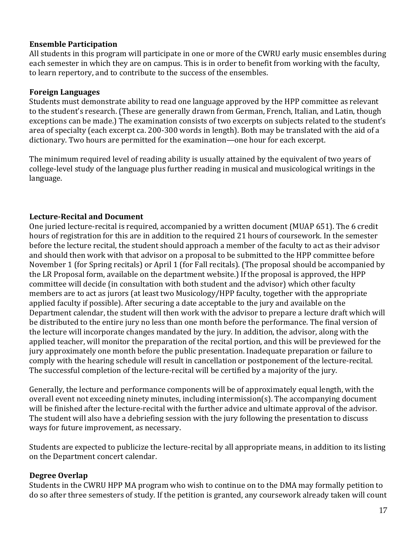# **Ensemble Participation**

All students in this program will participate in one or more of the CWRU early music ensembles during each semester in which they are on campus. This is in order to benefit from working with the faculty, to learn repertory, and to contribute to the success of the ensembles.

# **Foreign Languages**

Students must demonstrate ability to read one language approved by the HPP committee as relevant to the student's research. (These are generally drawn from German, French, Italian, and Latin, though exceptions can be made.) The examination consists of two excerpts on subjects related to the student's area of specialty (each excerpt ca. 200-300 words in length). Both may be translated with the aid of a dictionary. Two hours are permitted for the examination—one hour for each excerpt.

The minimum required level of reading ability is usually attained by the equivalent of two years of college-level study of the language plus further reading in musical and musicological writings in the language.

# Lecture-Recital and Document

One juried lecture-recital is required, accompanied by a written document (MUAP 651). The 6 credit hours of registration for this are in addition to the required 21 hours of coursework. In the semester before the lecture recital, the student should approach a member of the faculty to act as their advisor and should then work with that advisor on a proposal to be submitted to the HPP committee before November 1 (for Spring recitals) or April 1 (for Fall recitals). (The proposal should be accompanied by the LR Proposal form, available on the department website.) If the proposal is approved, the HPP committee will decide (in consultation with both student and the advisor) which other faculty members are to act as jurors (at least two Musicology/HPP faculty, together with the appropriate applied faculty if possible). After securing a date acceptable to the jury and available on the Department calendar, the student will then work with the advisor to prepare a lecture draft which will be distributed to the entire jury no less than one month before the performance. The final version of the lecture will incorporate changes mandated by the jury. In addition, the advisor, along with the applied teacher, will monitor the preparation of the recital portion, and this will be previewed for the jury approximately one month before the public presentation. Inadequate preparation or failure to comply with the hearing schedule will result in cancellation or postponement of the lecture-recital. The successful completion of the lecture-recital will be certified by a majority of the jury.

Generally, the lecture and performance components will be of approximately equal length, with the  $overall$  event not exceeding ninety minutes, including intermission(s). The accompanying document will be finished after the lecture-recital with the further advice and ultimate approval of the advisor. The student will also have a debriefing session with the jury following the presentation to discuss ways for future improvement, as necessary.

Students are expected to publicize the lecture-recital by all appropriate means, in addition to its listing on the Department concert calendar.

# **Degree Overlap**

Students in the CWRU HPP MA program who wish to continue on to the DMA may formally petition to do so after three semesters of study. If the petition is granted, any coursework already taken will count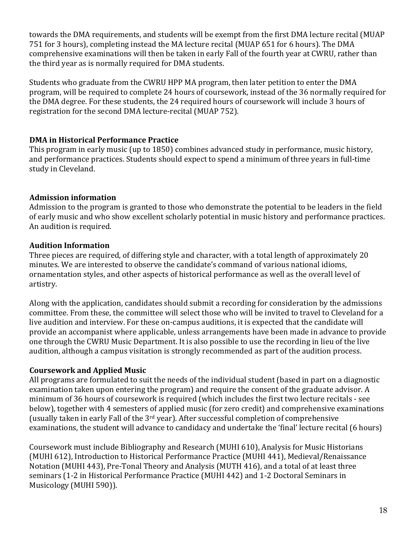towards the DMA requirements, and students will be exempt from the first DMA lecture recital (MUAP 751 for 3 hours), completing instead the MA lecture recital (MUAP 651 for 6 hours). The DMA comprehensive examinations will then be taken in early Fall of the fourth year at CWRU, rather than the third year as is normally required for DMA students.

Students who graduate from the CWRU HPP MA program, then later petition to enter the DMA program, will be required to complete 24 hours of coursework, instead of the 36 normally required for the DMA degree. For these students, the 24 required hours of coursework will include 3 hours of registration for the second DMA lecture-recital (MUAP 752).

# **DMA** in Historical Performance Practice

This program in early music (up to 1850) combines advanced study in performance, music history, and performance practices. Students should expect to spend a minimum of three years in full-time study in Cleveland.

# **Admission information**

Admission to the program is granted to those who demonstrate the potential to be leaders in the field of early music and who show excellent scholarly potential in music history and performance practices. An audition is required.

# **Audition Information**

Three pieces are required, of differing style and character, with a total length of approximately 20 minutes. We are interested to observe the candidate's command of various national idioms, ornamentation styles, and other aspects of historical performance as well as the overall level of artistry. 

Along with the application, candidates should submit a recording for consideration by the admissions committee. From these, the committee will select those who will be invited to travel to Cleveland for a live audition and interview. For these on-campus auditions, it is expected that the candidate will provide an accompanist where applicable, unless arrangements have been made in advance to provide one through the CWRU Music Department. It is also possible to use the recording in lieu of the live audition, although a campus visitation is strongly recommended as part of the audition process.

# **Coursework and Applied Music**

All programs are formulated to suit the needs of the individual student (based in part on a diagnostic examination taken upon entering the program) and require the consent of the graduate advisor. A minimum of 36 hours of coursework is required (which includes the first two lecture recitals - see below), together with 4 semesters of applied music (for zero credit) and comprehensive examinations (usually taken in early Fall of the  $3<sup>rd</sup>$  year). After successful completion of comprehensive examinations, the student will advance to candidacy and undertake the 'final' lecture recital (6 hours)

Coursework must include Bibliography and Research (MUHI 610), Analysis for Music Historians (MUHI 612), Introduction to Historical Performance Practice (MUHI 441), Medieval/Renaissance Notation (MUHI 443), Pre-Tonal Theory and Analysis (MUTH 416), and a total of at least three seminars (1-2 in Historical Performance Practice (MUHI 442) and 1-2 Doctoral Seminars in Musicology (MUHI 590)).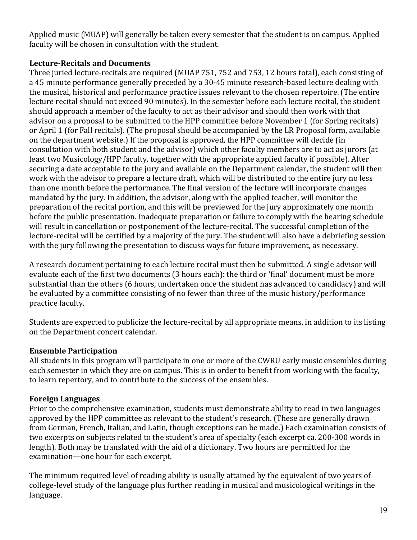Applied music (MUAP) will generally be taken every semester that the student is on campus. Applied faculty will be chosen in consultation with the student.

# Lecture-Recitals and Documents

Three juried lecture-recitals are required (MUAP 751, 752 and 753, 12 hours total), each consisting of a 45 minute performance generally preceded by a 30-45 minute research-based lecture dealing with the musical, historical and performance practice issues relevant to the chosen repertoire. (The entire lecture recital should not exceed 90 minutes). In the semester before each lecture recital, the student should approach a member of the faculty to act as their advisor and should then work with that advisor on a proposal to be submitted to the HPP committee before November 1 (for Spring recitals) or April 1 (for Fall recitals). (The proposal should be accompanied by the LR Proposal form, available on the department website.) If the proposal is approved, the HPP committee will decide (in consultation with both student and the advisor) which other faculty members are to act as jurors (at least two Musicology/HPP faculty, together with the appropriate applied faculty if possible). After securing a date acceptable to the jury and available on the Department calendar, the student will then work with the advisor to prepare a lecture draft, which will be distributed to the entire jury no less than one month before the performance. The final version of the lecture will incorporate changes mandated by the jury. In addition, the advisor, along with the applied teacher, will monitor the preparation of the recital portion, and this will be previewed for the jury approximately one month before the public presentation. Inadequate preparation or failure to comply with the hearing schedule will result in cancellation or postponement of the lecture-recital. The successful completion of the lecture-recital will be certified by a majority of the jury. The student will also have a debriefing session with the jury following the presentation to discuss ways for future improvement, as necessary.

A research document pertaining to each lecture recital must then be submitted. A single advisor will evaluate each of the first two documents (3 hours each): the third or 'final' document must be more substantial than the others (6 hours, undertaken once the student has advanced to candidacy) and will be evaluated by a committee consisting of no fewer than three of the music history/performance practice faculty.

Students are expected to publicize the lecture-recital by all appropriate means, in addition to its listing on the Department concert calendar.

# **Ensemble Participation**

All students in this program will participate in one or more of the CWRU early music ensembles during each semester in which they are on campus. This is in order to benefit from working with the faculty, to learn repertory, and to contribute to the success of the ensembles.

# **Foreign Languages**

Prior to the comprehensive examination, students must demonstrate ability to read in two languages approved by the HPP committee as relevant to the student's research. (These are generally drawn from German, French, Italian, and Latin, though exceptions can be made.) Each examination consists of two excerpts on subjects related to the student's area of specialty (each excerpt ca. 200-300 words in length). Both may be translated with the aid of a dictionary. Two hours are permitted for the examination—one hour for each excerpt.

The minimum required level of reading ability is usually attained by the equivalent of two years of college-level study of the language plus further reading in musical and musicological writings in the language.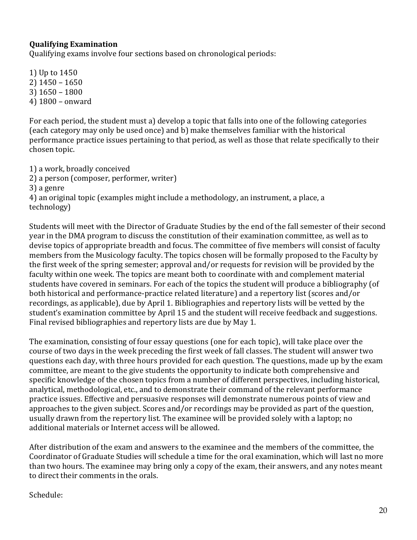# **Qualifying Examination**

Qualifying exams involve four sections based on chronological periods:

1) Up to 1450 2) 1450 – 1650  $3)$  1650 – 1800 4) 1800 – onward 

For each period, the student must a) develop a topic that falls into one of the following categories (each category may only be used once) and b) make themselves familiar with the historical performance practice issues pertaining to that period, as well as those that relate specifically to their chosen topic.

- 1) a work, broadly conceived
- 2) a person (composer, performer, writer)
- 3) a genre

4) an original topic (examples might include a methodology, an instrument, a place, a technology)

Students will meet with the Director of Graduate Studies by the end of the fall semester of their second year in the DMA program to discuss the constitution of their examination committee, as well as to devise topics of appropriate breadth and focus. The committee of five members will consist of faculty members from the Musicology faculty. The topics chosen will be formally proposed to the Faculty by the first week of the spring semester; approval and/or requests for revision will be provided by the faculty within one week. The topics are meant both to coordinate with and complement material students have covered in seminars. For each of the topics the student will produce a bibliography (of both historical and performance-practice related literature) and a repertory list (scores and/or recordings, as applicable), due by April 1. Bibliographies and repertory lists will be vetted by the student's examination committee by April 15 and the student will receive feedback and suggestions. Final revised bibliographies and repertory lists are due by May 1.

The examination, consisting of four essay questions (one for each topic), will take place over the course of two days in the week preceding the first week of fall classes. The student will answer two questions each day, with three hours provided for each question. The questions, made up by the exam committee, are meant to the give students the opportunity to indicate both comprehensive and specific knowledge of the chosen topics from a number of different perspectives, including historical, analytical, methodological, etc., and to demonstrate their command of the relevant performance practice issues. Effective and persuasive responses will demonstrate numerous points of view and approaches to the given subject. Scores and/or recordings may be provided as part of the question, usually drawn from the repertory list. The examinee will be provided solely with a laptop; no additional materials or Internet access will be allowed.

After distribution of the exam and answers to the examinee and the members of the committee, the Coordinator of Graduate Studies will schedule a time for the oral examination, which will last no more than two hours. The examinee may bring only a copy of the exam, their answers, and any notes meant to direct their comments in the orals.

Schedule: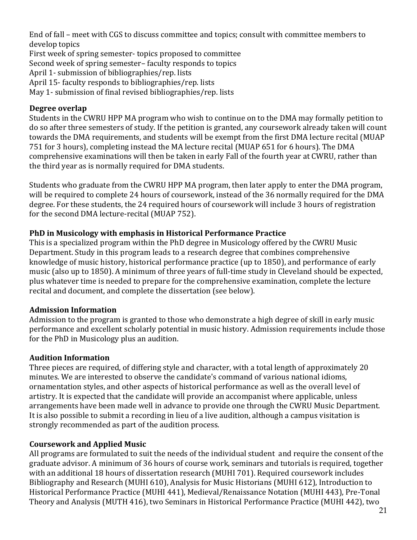End of fall – meet with CGS to discuss committee and topics; consult with committee members to develop topics

First week of spring semester- topics proposed to committee

Second week of spring semester- faculty responds to topics

April 1- submission of bibliographies/rep. lists

April 15- faculty responds to bibliographies/rep. lists

May 1- submission of final revised bibliographies/rep. lists

# **Degree overlap**

Students in the CWRU HPP MA program who wish to continue on to the DMA may formally petition to do so after three semesters of study. If the petition is granted, any coursework already taken will count towards the DMA requirements, and students will be exempt from the first DMA lecture recital (MUAP 751 for 3 hours), completing instead the MA lecture recital (MUAP 651 for 6 hours). The DMA comprehensive examinations will then be taken in early Fall of the fourth year at CWRU, rather than the third year as is normally required for DMA students.

Students who graduate from the CWRU HPP MA program, then later apply to enter the DMA program, will be required to complete 24 hours of coursework, instead of the 36 normally required for the DMA degree. For these students, the 24 required hours of coursework will include 3 hours of registration for the second DMA lecture-recital (MUAP 752).

# **PhD** in Musicology with emphasis in Historical Performance Practice

This is a specialized program within the PhD degree in Musicology offered by the CWRU Music Department. Study in this program leads to a research degree that combines comprehensive knowledge of music history, historical performance practice (up to 1850), and performance of early music (also up to 1850). A minimum of three years of full-time study in Cleveland should be expected, plus whatever time is needed to prepare for the comprehensive examination, complete the lecture recital and document, and complete the dissertation (see below).

# **Admission Information**

Admission to the program is granted to those who demonstrate a high degree of skill in early music performance and excellent scholarly potential in music history. Admission requirements include those for the PhD in Musicology plus an audition.

# **Audition Information**

Three pieces are required, of differing style and character, with a total length of approximately 20 minutes. We are interested to observe the candidate's command of various national idioms, ornamentation styles, and other aspects of historical performance as well as the overall level of artistry. It is expected that the candidate will provide an accompanist where applicable, unless arrangements have been made well in advance to provide one through the CWRU Music Department. It is also possible to submit a recording in lieu of a live audition, although a campus visitation is strongly recommended as part of the audition process.

# **Coursework and Applied Music**

All programs are formulated to suit the needs of the individual student and require the consent of the graduate advisor. A minimum of 36 hours of course work, seminars and tutorials is required, together with an additional 18 hours of dissertation research (MUHI 701). Required coursework includes Bibliography and Research (MUHI 610), Analysis for Music Historians (MUHI 612), Introduction to Historical Performance Practice (MUHI 441), Medieval/Renaissance Notation (MUHI 443), Pre-Tonal Theory and Analysis (MUTH 416), two Seminars in Historical Performance Practice (MUHI 442), two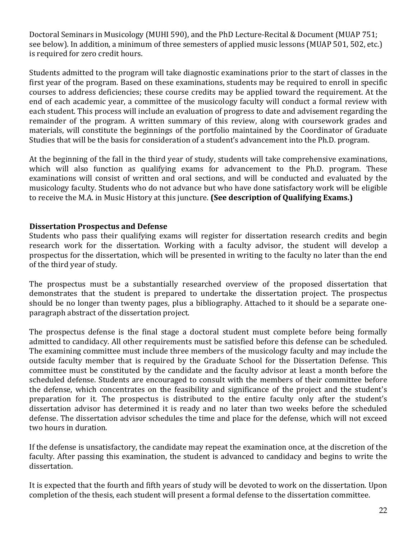Doctoral Seminars in Musicology (MUHI 590), and the PhD Lecture-Recital & Document (MUAP 751; see below). In addition, a minimum of three semesters of applied music lessons (MUAP 501, 502, etc.) is required for zero credit hours.

Students admitted to the program will take diagnostic examinations prior to the start of classes in the first year of the program. Based on these examinations, students may be required to enroll in specific courses to address deficiencies; these course credits may be applied toward the requirement. At the end of each academic year, a committee of the musicology faculty will conduct a formal review with each student. This process will include an evaluation of progress to date and advisement regarding the remainder of the program. A written summary of this review, along with coursework grades and materials, will constitute the beginnings of the portfolio maintained by the Coordinator of Graduate Studies that will be the basis for consideration of a student's advancement into the Ph.D. program.

At the beginning of the fall in the third year of study, students will take comprehensive examinations, which will also function as qualifying exams for advancement to the Ph.D. program. These examinations will consist of written and oral sections, and will be conducted and evaluated by the musicology faculty. Students who do not advance but who have done satisfactory work will be eligible to receive the M.A. in Music History at this juncture. **(See description of Qualifying Exams.)** 

# **Dissertation Prospectus and Defense**

Students who pass their qualifying exams will register for dissertation research credits and begin research work for the dissertation. Working with a faculty advisor, the student will develop a prospectus for the dissertation, which will be presented in writing to the faculty no later than the end of the third year of study.

The prospectus must be a substantially researched overview of the proposed dissertation that demonstrates that the student is prepared to undertake the dissertation project. The prospectus should be no longer than twenty pages, plus a bibliography. Attached to it should be a separate oneparagraph abstract of the dissertation project.

The prospectus defense is the final stage a doctoral student must complete before being formally admitted to candidacy. All other requirements must be satisfied before this defense can be scheduled. The examining committee must include three members of the musicology faculty and may include the outside faculty member that is required by the Graduate School for the Dissertation Defense. This committee must be constituted by the candidate and the faculty advisor at least a month before the scheduled defense. Students are encouraged to consult with the members of their committee before the defense, which concentrates on the feasibility and significance of the project and the student's preparation for it. The prospectus is distributed to the entire faculty only after the student's dissertation advisor has determined it is ready and no later than two weeks before the scheduled defense. The dissertation advisor schedules the time and place for the defense, which will not exceed two hours in duration.

If the defense is unsatisfactory, the candidate may repeat the examination once, at the discretion of the faculty. After passing this examination, the student is advanced to candidacy and begins to write the dissertation.

It is expected that the fourth and fifth years of study will be devoted to work on the dissertation. Upon completion of the thesis, each student will present a formal defense to the dissertation committee.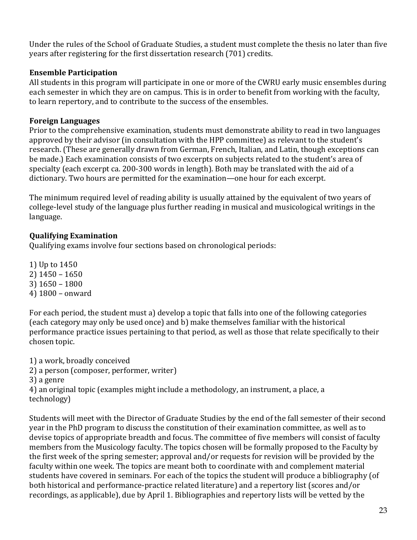Under the rules of the School of Graduate Studies, a student must complete the thesis no later than five years after registering for the first dissertation research (701) credits.

# **Ensemble Participation**

All students in this program will participate in one or more of the CWRU early music ensembles during each semester in which they are on campus. This is in order to benefit from working with the faculty, to learn repertory, and to contribute to the success of the ensembles.

# **Foreign Languages**

Prior to the comprehensive examination, students must demonstrate ability to read in two languages approved by their advisor (in consultation with the HPP committee) as relevant to the student's research. (These are generally drawn from German, French, Italian, and Latin, though exceptions can be made.) Each examination consists of two excerpts on subjects related to the student's area of specialty (each excerpt ca. 200-300 words in length). Both may be translated with the aid of a dictionary. Two hours are permitted for the examination—one hour for each excerpt.

The minimum required level of reading ability is usually attained by the equivalent of two years of college-level study of the language plus further reading in musical and musicological writings in the language.

# **Qualifying Examination**

Qualifying exams involve four sections based on chronological periods:

1) Up to 1450  $2)$  1450 – 1650 3) 1650 – 1800 4) 1800 – onward 

For each period, the student must a) develop a topic that falls into one of the following categories (each category may only be used once) and b) make themselves familiar with the historical performance practice issues pertaining to that period, as well as those that relate specifically to their chosen topic.

1) a work, broadly conceived

- 2) a person (composer, performer, writer)
- 3) a genre

4) an original topic (examples might include a methodology, an instrument, a place, a technology)

Students will meet with the Director of Graduate Studies by the end of the fall semester of their second year in the PhD program to discuss the constitution of their examination committee, as well as to devise topics of appropriate breadth and focus. The committee of five members will consist of faculty members from the Musicology faculty. The topics chosen will be formally proposed to the Faculty by the first week of the spring semester; approval and/or requests for revision will be provided by the faculty within one week. The topics are meant both to coordinate with and complement material students have covered in seminars. For each of the topics the student will produce a bibliography (of both historical and performance-practice related literature) and a repertory list (scores and/or recordings, as applicable), due by April 1. Bibliographies and repertory lists will be vetted by the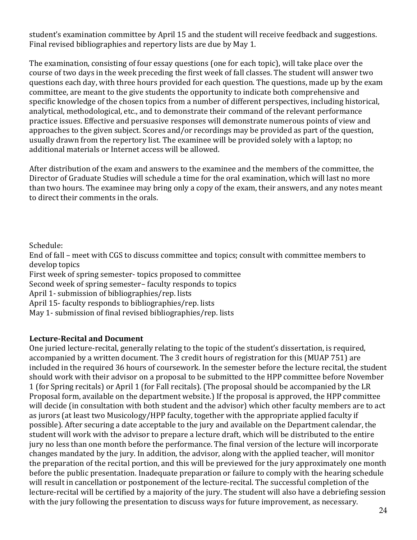student's examination committee by April 15 and the student will receive feedback and suggestions. Final revised bibliographies and repertory lists are due by May 1.

The examination, consisting of four essay questions (one for each topic), will take place over the course of two days in the week preceding the first week of fall classes. The student will answer two questions each day, with three hours provided for each question. The questions, made up by the exam committee, are meant to the give students the opportunity to indicate both comprehensive and specific knowledge of the chosen topics from a number of different perspectives, including historical, analytical, methodological, etc., and to demonstrate their command of the relevant performance practice issues. Effective and persuasive responses will demonstrate numerous points of view and approaches to the given subject. Scores and/or recordings may be provided as part of the question, usually drawn from the repertory list. The examinee will be provided solely with a laptop; no additional materials or Internet access will be allowed.

After distribution of the exam and answers to the examinee and the members of the committee, the Director of Graduate Studies will schedule a time for the oral examination, which will last no more than two hours. The examinee may bring only a copy of the exam, their answers, and any notes meant to direct their comments in the orals.

Schedule:

End of fall – meet with CGS to discuss committee and topics; consult with committee members to develop topics First week of spring semester- topics proposed to committee Second week of spring semester-faculty responds to topics April 1- submission of bibliographies/rep. lists April 15- faculty responds to bibliographies/rep. lists May 1- submission of final revised bibliographies/rep. lists

# Lecture-Recital and Document

One juried lecture-recital, generally relating to the topic of the student's dissertation, is required, accompanied by a written document. The 3 credit hours of registration for this (MUAP 751) are included in the required 36 hours of coursework. In the semester before the lecture recital, the student should work with their advisor on a proposal to be submitted to the HPP committee before November 1 (for Spring recitals) or April 1 (for Fall recitals). (The proposal should be accompanied by the LR Proposal form, available on the department website.) If the proposal is approved, the HPP committee will decide (in consultation with both student and the advisor) which other faculty members are to act as jurors (at least two Musicology/HPP faculty, together with the appropriate applied faculty if possible). After securing a date acceptable to the jury and available on the Department calendar, the student will work with the advisor to prepare a lecture draft, which will be distributed to the entire jury no less than one month before the performance. The final version of the lecture will incorporate changes mandated by the jury. In addition, the advisor, along with the applied teacher, will monitor the preparation of the recital portion, and this will be previewed for the jury approximately one month before the public presentation. Inadequate preparation or failure to comply with the hearing schedule will result in cancellation or postponement of the lecture-recital. The successful completion of the lecture-recital will be certified by a majority of the jury. The student will also have a debriefing session with the jury following the presentation to discuss ways for future improvement, as necessary.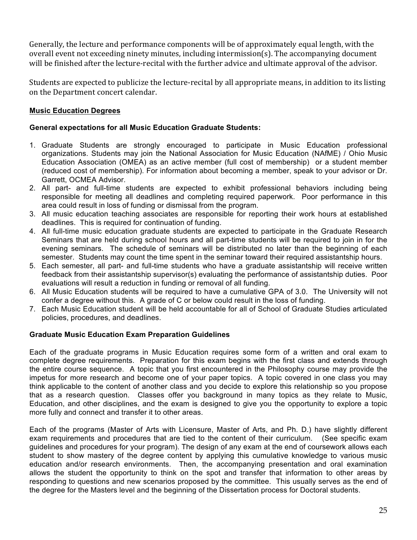Generally, the lecture and performance components will be of approximately equal length, with the overall event not exceeding ninety minutes, including intermission(s). The accompanying document will be finished after the lecture-recital with the further advice and ultimate approval of the advisor.

Students are expected to publicize the lecture-recital by all appropriate means, in addition to its listing on the Department concert calendar.

## **Music Education Degrees**

#### **General expectations for all Music Education Graduate Students:**

- 1. Graduate Students are strongly encouraged to participate in Music Education professional organizations. Students may join the National Association for Music Education (NAfME) / Ohio Music Education Association (OMEA) as an active member (full cost of membership) or a student member (reduced cost of membership). For information about becoming a member, speak to your advisor or Dr. Garrett, OCMEA Advisor.
- 2. All part- and full-time students are expected to exhibit professional behaviors including being responsible for meeting all deadlines and completing required paperwork. Poor performance in this area could result in loss of funding or dismissal from the program.
- 3. All music education teaching associates are responsible for reporting their work hours at established deadlines. This is required for continuation of funding.
- 4. All full-time music education graduate students are expected to participate in the Graduate Research Seminars that are held during school hours and all part-time students will be required to join in for the evening seminars. The schedule of seminars will be distributed no later than the beginning of each semester. Students may count the time spent in the seminar toward their required assistantship hours.
- 5. Each semester, all part- and full-time students who have a graduate assistantship will receive written feedback from their assistantship supervisor(s) evaluating the performance of assistantship duties. Poor evaluations will result a reduction in funding or removal of all funding.
- 6. All Music Education students will be required to have a cumulative GPA of 3.0. The University will not confer a degree without this. A grade of C or below could result in the loss of funding.
- 7. Each Music Education student will be held accountable for all of School of Graduate Studies articulated policies, procedures, and deadlines.

#### **Graduate Music Education Exam Preparation Guidelines**

Each of the graduate programs in Music Education requires some form of a written and oral exam to complete degree requirements. Preparation for this exam begins with the first class and extends through the entire course sequence. A topic that you first encountered in the Philosophy course may provide the impetus for more research and become one of your paper topics. A topic covered in one class you may think applicable to the content of another class and you decide to explore this relationship so you propose that as a research question. Classes offer you background in many topics as they relate to Music, Education, and other disciplines, and the exam is designed to give you the opportunity to explore a topic more fully and connect and transfer it to other areas.

Each of the programs (Master of Arts with Licensure, Master of Arts, and Ph. D.) have slightly different exam requirements and procedures that are tied to the content of their curriculum. (See specific exam guidelines and procedures for your program). The design of any exam at the end of coursework allows each student to show mastery of the degree content by applying this cumulative knowledge to various music education and/or research environments. Then, the accompanying presentation and oral examination allows the student the opportunity to think on the spot and transfer that information to other areas by responding to questions and new scenarios proposed by the committee. This usually serves as the end of the degree for the Masters level and the beginning of the Dissertation process for Doctoral students.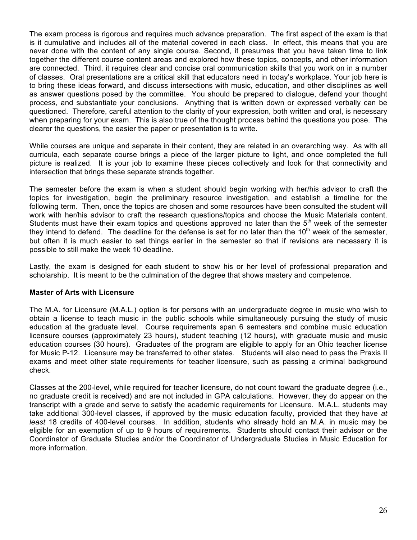The exam process is rigorous and requires much advance preparation. The first aspect of the exam is that is it cumulative and includes all of the material covered in each class. In effect, this means that you are never done with the content of any single course. Second, it presumes that you have taken time to link together the different course content areas and explored how these topics, concepts, and other information are connected. Third, it requires clear and concise oral communication skills that you work on in a number of classes. Oral presentations are a critical skill that educators need in today's workplace. Your job here is to bring these ideas forward, and discuss intersections with music, education, and other disciplines as well as answer questions posed by the committee. You should be prepared to dialogue, defend your thought process, and substantiate your conclusions. Anything that is written down or expressed verbally can be questioned. Therefore, careful attention to the clarity of your expression, both written and oral, is necessary when preparing for your exam. This is also true of the thought process behind the questions you pose. The clearer the questions, the easier the paper or presentation is to write.

While courses are unique and separate in their content, they are related in an overarching way. As with all curricula, each separate course brings a piece of the larger picture to light, and once completed the full picture is realized. It is your job to examine these pieces collectively and look for that connectivity and intersection that brings these separate strands together.

The semester before the exam is when a student should begin working with her/his advisor to craft the topics for investigation, begin the preliminary resource investigation, and establish a timeline for the following term. Then, once the topics are chosen and some resources have been consulted the student will work with her/his advisor to craft the research questions/topics and choose the Music Materials content. Students must have their exam topics and questions approved no later than the 5<sup>th</sup> week of the semester they intend to defend. The deadline for the defense is set for no later than the  $10<sup>th</sup>$  week of the semester, but often it is much easier to set things earlier in the semester so that if revisions are necessary it is possible to still make the week 10 deadline.

Lastly, the exam is designed for each student to show his or her level of professional preparation and scholarship. It is meant to be the culmination of the degree that shows mastery and competence.

#### **Master of Arts with Licensure**

The M.A. for Licensure (M.A.L.) option is for persons with an undergraduate degree in music who wish to obtain a license to teach music in the public schools while simultaneously pursuing the study of music education at the graduate level. Course requirements span 6 semesters and combine music education licensure courses (approximately 23 hours), student teaching (12 hours), with graduate music and music education courses (30 hours). Graduates of the program are eligible to apply for an Ohio teacher license for Music P-12. Licensure may be transferred to other states. Students will also need to pass the Praxis II exams and meet other state requirements for teacher licensure, such as passing a criminal background check.

Classes at the 200-level, while required for teacher licensure, do not count toward the graduate degree (i.e., no graduate credit is received) and are not included in GPA calculations. However, they do appear on the transcript with a grade and serve to satisfy the academic requirements for Licensure. M.A.L. students may take additional 300-level classes, if approved by the music education faculty, provided that they have *at least* 18 credits of 400-level courses. In addition, students who already hold an M.A. in music may be eligible for an exemption of up to 9 hours of requirements. Students should contact their advisor or the Coordinator of Graduate Studies and/or the Coordinator of Undergraduate Studies in Music Education for more information.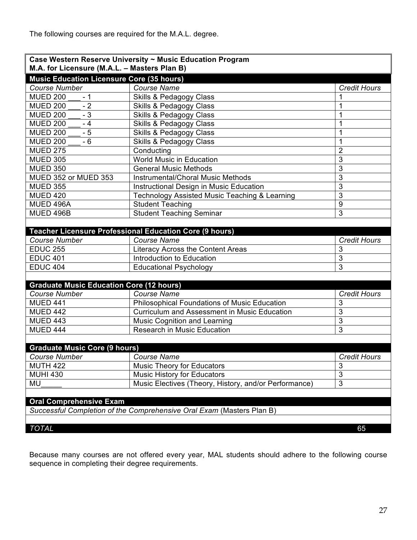The following courses are required for the M.A.L. degree.

| Case Western Reserve University ~ Music Education Program             |                                                         |                     |  |
|-----------------------------------------------------------------------|---------------------------------------------------------|---------------------|--|
| M.A. for Licensure (M.A.L. - Masters Plan B)                          |                                                         |                     |  |
| <b>Music Education Licensure Core (35 hours)</b>                      |                                                         |                     |  |
| <b>Course Number</b>                                                  | <b>Course Name</b>                                      | Credit Hours        |  |
| <b>MUED 200</b><br>- 1                                                | <b>Skills &amp; Pedagogy Class</b>                      |                     |  |
| <b>MUED 200</b><br>$-2$                                               | <b>Skills &amp; Pedagogy Class</b>                      | 1                   |  |
| $-3$<br><b>MUED 200</b>                                               | Skills & Pedagogy Class                                 | 1                   |  |
| <b>MUED 200</b><br>$-4$                                               | Skills & Pedagogy Class                                 | 1                   |  |
| $-5$<br><b>MUED 200</b>                                               | <b>Skills &amp; Pedagogy Class</b>                      | 1                   |  |
| <b>MUED 200</b><br>$-6$                                               | <b>Skills &amp; Pedagogy Class</b>                      | 1                   |  |
| <b>MUED 275</b>                                                       | Conducting                                              | $\overline{2}$      |  |
| <b>MUED 305</b>                                                       | <b>World Music in Education</b>                         | $\overline{3}$      |  |
| <b>MUED 350</b>                                                       | <b>General Music Methods</b>                            | 3                   |  |
| MUED 352 or MUED 353                                                  | <b>Instrumental/Choral Music Methods</b>                | 3                   |  |
| <b>MUED 355</b>                                                       | Instructional Design in Music Education                 | $\overline{3}$      |  |
| <b>MUED 420</b>                                                       | Technology Assisted Music Teaching & Learning           | 3                   |  |
| MUED 496A                                                             | <b>Student Teaching</b>                                 | $\overline{9}$      |  |
| MUED 496B                                                             | <b>Student Teaching Seminar</b>                         | 3                   |  |
|                                                                       |                                                         |                     |  |
|                                                                       | Teacher Licensure Professional Education Core (9 hours) |                     |  |
| <b>Course Number</b>                                                  | <b>Course Name</b>                                      | <b>Credit Hours</b> |  |
| <b>EDUC 255</b>                                                       | Literacy Across the Content Areas                       | 3                   |  |
| <b>EDUC 401</b>                                                       | Introduction to Education                               | 3                   |  |
| <b>EDUC 404</b>                                                       | <b>Educational Psychology</b>                           | 3                   |  |
|                                                                       |                                                         |                     |  |
| <b>Graduate Music Education Core (12 hours)</b>                       |                                                         |                     |  |
| <b>Course Number</b>                                                  | <b>Course Name</b>                                      | <b>Credit Hours</b> |  |
| <b>MUED 441</b>                                                       | <b>Philosophical Foundations of Music Education</b>     | 3                   |  |
| <b>MUED 442</b>                                                       | <b>Curriculum and Assessment in Music Education</b>     | 3                   |  |
| MUED 443                                                              | <b>Music Cognition and Learning</b>                     | $\overline{3}$      |  |
| <b>MUED 444</b>                                                       | <b>Research in Music Education</b>                      | $\overline{3}$      |  |
|                                                                       |                                                         |                     |  |
| <b>Graduate Music Core (9 hours)</b>                                  |                                                         |                     |  |
| Course Number                                                         | <b>Course Name</b>                                      | <b>Credit Hours</b> |  |
| <b>MUTH 422</b>                                                       | <b>Music Theory for Educators</b>                       | 3                   |  |
| <b>MUHI 430</b>                                                       | <b>Music History for Educators</b>                      | $\overline{3}$      |  |
| MU                                                                    | Music Electives (Theory, History, and/or Performance)   | 3                   |  |
|                                                                       |                                                         |                     |  |
| <b>Oral Comprehensive Exam</b>                                        |                                                         |                     |  |
| Successful Completion of the Comprehensive Oral Exam (Masters Plan B) |                                                         |                     |  |
|                                                                       |                                                         |                     |  |
| <b>TOTAL</b>                                                          |                                                         | 65                  |  |

Because many courses are not offered every year, MAL students should adhere to the following course sequence in completing their degree requirements.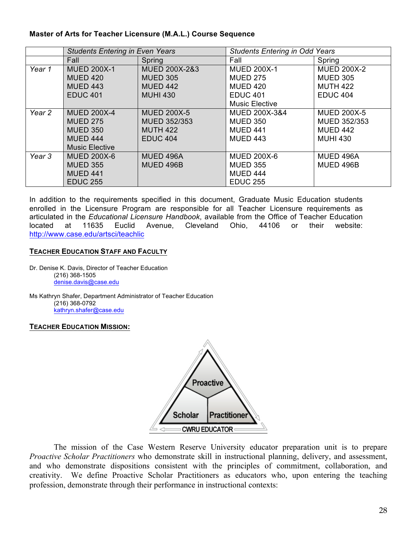#### **Master of Arts for Teacher Licensure (M.A.L.) Course Sequence**

|                   | <b>Students Entering in Even Years</b> |                          | <b>Students Entering in Odd Years</b> |                    |
|-------------------|----------------------------------------|--------------------------|---------------------------------------|--------------------|
|                   | Fall                                   | Spring                   | Fall                                  | Spring             |
| Year 1            | <b>MUED 200X-1</b>                     | <b>MUED 200X-2&amp;3</b> | <b>MUED 200X-1</b>                    | <b>MUED 200X-2</b> |
|                   | <b>MUED 420</b>                        | <b>MUED 305</b>          | <b>MUED 275</b>                       | <b>MUED 305</b>    |
|                   | <b>MUED 443</b>                        | <b>MUED 442</b>          | <b>MUED 420</b>                       | <b>MUTH 422</b>    |
|                   | <b>EDUC 401</b>                        | <b>MUHI 430</b>          | <b>EDUC 401</b>                       | <b>EDUC 404</b>    |
|                   |                                        |                          | <b>Music Elective</b>                 |                    |
| Year 2            | <b>MUED 200X-4</b>                     | <b>MUED 200X-5</b>       | <b>MUED 200X-3&amp;4</b>              | <b>MUED 200X-5</b> |
|                   | <b>MUED 275</b>                        | <b>MUED 352/353</b>      | <b>MUED 350</b>                       | MUED 352/353       |
|                   | <b>MUED 350</b>                        | <b>MUTH 422</b>          | <b>MUED 441</b>                       | <b>MUED 442</b>    |
|                   | <b>MUED 444</b>                        | <b>EDUC 404</b>          | <b>MUED 443</b>                       | <b>MUHI 430</b>    |
|                   | <b>Music Elective</b>                  |                          |                                       |                    |
| Year <sub>3</sub> | <b>MUED 200X-6</b>                     | MUED 496A                | <b>MUED 200X-6</b>                    | MUED 496A          |
|                   | <b>MUED 355</b>                        | MUED 496B                | <b>MUED 355</b>                       | MUED 496B          |
|                   | <b>MUED 441</b>                        |                          | <b>MUED 444</b>                       |                    |
|                   | <b>EDUC 255</b>                        |                          | <b>EDUC 255</b>                       |                    |

In addition to the requirements specified in this document, Graduate Music Education students enrolled in the Licensure Program are responsible for all Teacher Licensure requirements as articulated in the *Educational Licensure Handbook*, available from the Office of Teacher Education located at 11635 Euclid Avenue, Cleveland Ohio, 44106 or their website: http://www.case.edu/artsci/teachlic

#### **TEACHER EDUCATION STAFF AND FACULTY**

Dr. Denise K. Davis, Director of Teacher Education (216) 368-1505 denise.davis@case.edu

Ms Kathryn Shafer, Department Administrator of Teacher Education (216) 368-0792 kathryn.shafer@case.edu

#### **TEACHER EDUCATION MISSION:**



The mission of the Case Western Reserve University educator preparation unit is to prepare *Proactive Scholar Practitioners* who demonstrate skill in instructional planning, delivery, and assessment, and who demonstrate dispositions consistent with the principles of commitment, collaboration, and creativity.We define Proactive Scholar Practitioners as educators who, upon entering the teaching profession, demonstrate through their performance in instructional contexts: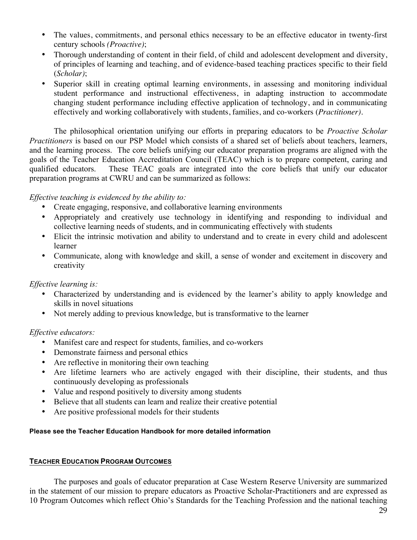- The values, commitments, and personal ethics necessary to be an effective educator in twenty-first century schools *(Proactive)*;
- Thorough understanding of content in their field, of child and adolescent development and diversity, of principles of learning and teaching, and of evidence-based teaching practices specific to their field (*Scholar)*;
- Superior skill in creating optimal learning environments, in assessing and monitoring individual student performance and instructional effectiveness, in adapting instruction to accommodate changing student performance including effective application of technology, and in communicating effectively and working collaboratively with students, families, and co-workers (*Practitioner)*.

The philosophical orientation unifying our efforts in preparing educators to be *Proactive Scholar Practitioners* is based on our PSP Model which consists of a shared set of beliefs about teachers, learners, and the learning process. The core beliefs unifying our educator preparation programs are aligned with the goals of the Teacher Education Accreditation Council (TEAC) which is to prepare competent, caring and qualified educators. These TEAC goals are integrated into the core beliefs that unify our educator preparation programs at CWRU and can be summarized as follows:

#### *Effective teaching is evidenced by the ability to:*

- Create engaging, responsive, and collaborative learning environments
- Appropriately and creatively use technology in identifying and responding to individual and collective learning needs of students, and in communicating effectively with students
- Elicit the intrinsic motivation and ability to understand and to create in every child and adolescent learner
- Communicate, along with knowledge and skill, a sense of wonder and excitement in discovery and creativity

## *Effective learning is:*

- Characterized by understanding and is evidenced by the learner's ability to apply knowledge and skills in novel situations
- Not merely adding to previous knowledge, but is transformative to the learner

## *Effective educators:*

- Manifest care and respect for students, families, and co-workers
- Demonstrate fairness and personal ethics
- Are reflective in monitoring their own teaching
- Are lifetime learners who are actively engaged with their discipline, their students, and thus continuously developing as professionals
- Value and respond positively to diversity among students
- Believe that all students can learn and realize their creative potential
- Are positive professional models for their students

#### **Please see the Teacher Education Handbook for more detailed information**

#### **TEACHER EDUCATION PROGRAM OUTCOMES**

The purposes and goals of educator preparation at Case Western Reserve University are summarized in the statement of our mission to prepare educators as Proactive Scholar-Practitioners and are expressed as 10 Program Outcomes which reflect Ohio's Standards for the Teaching Profession and the national teaching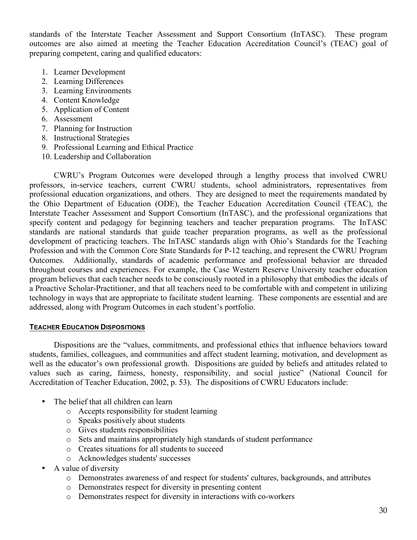standards of the Interstate Teacher Assessment and Support Consortium (InTASC). These program outcomes are also aimed at meeting the Teacher Education Accreditation Council's (TEAC) goal of preparing competent, caring and qualified educators:

- 1. Learner Development
- 2. Learning Differences
- 3. Learning Environments
- 4. Content Knowledge
- 5. Application of Content
- 6. Assessment
- 7. Planning for Instruction
- 8. Instructional Strategies
- 9. Professional Learning and Ethical Practice
- 10. Leadership and Collaboration

CWRU's Program Outcomes were developed through a lengthy process that involved CWRU professors, in-service teachers, current CWRU students, school administrators, representatives from professional education organizations, and others. They are designed to meet the requirements mandated by the Ohio Department of Education (ODE), the Teacher Education Accreditation Council (TEAC), the Interstate Teacher Assessment and Support Consortium (InTASC), and the professional organizations that specify content and pedagogy for beginning teachers and teacher preparation programs. The InTASC standards are national standards that guide teacher preparation programs, as well as the professional development of practicing teachers. The InTASC standards align with Ohio's Standards for the Teaching Profession and with the Common Core State Standards for P-12 teaching, and represent the CWRU Program Outcomes. Additionally, standards of academic performance and professional behavior are threaded throughout courses and experiences. For example, the Case Western Reserve University teacher education program believes that each teacher needs to be consciously rooted in a philosophy that embodies the ideals of a Proactive Scholar-Practitioner, and that all teachers need to be comfortable with and competent in utilizing technology in ways that are appropriate to facilitate student learning. These components are essential and are addressed, along with Program Outcomes in each student's portfolio.

#### **TEACHER EDUCATION DISPOSITIONS**

Dispositions are the "values, commitments, and professional ethics that influence behaviors toward students, families, colleagues, and communities and affect student learning, motivation, and development as well as the educator's own professional growth. Dispositions are guided by beliefs and attitudes related to values such as caring, fairness, honesty, responsibility, and social justice" (National Council for Accreditation of Teacher Education, 2002, p. 53). The dispositions of CWRU Educators include:

- The belief that all children can learn
	- o Accepts responsibility for student learning
	- o Speaks positively about students
	- o Gives students responsibilities
	- o Sets and maintains appropriately high standards of student performance
	- o Creates situations for all students to succeed
	- o Acknowledges students' successes
- A value of diversity
	- o Demonstrates awareness of and respect for students' cultures, backgrounds, and attributes
	- o Demonstrates respect for diversity in presenting content
	- o Demonstrates respect for diversity in interactions with co-workers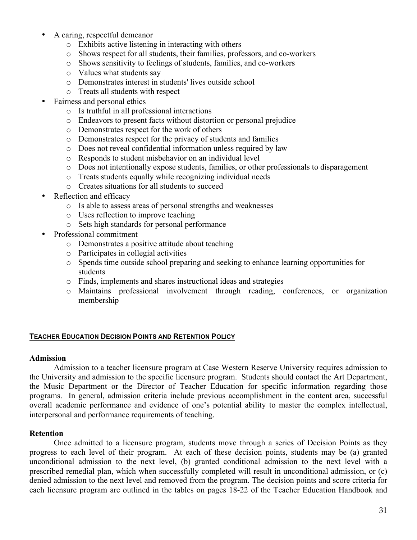- A caring, respectful demeanor
	- o Exhibits active listening in interacting with others
	- o Shows respect for all students, their families, professors, and co-workers
	- o Shows sensitivity to feelings of students, families, and co-workers
	- o Values what students say
	- o Demonstrates interest in students' lives outside school
	- o Treats all students with respect
- Fairness and personal ethics
	- o Is truthful in all professional interactions
	- o Endeavors to present facts without distortion or personal prejudice
	- o Demonstrates respect for the work of others
	- o Demonstrates respect for the privacy of students and families
	- o Does not reveal confidential information unless required by law
	- o Responds to student misbehavior on an individual level
	- o Does not intentionally expose students, families, or other professionals to disparagement
	- o Treats students equally while recognizing individual needs
	- o Creates situations for all students to succeed
- Reflection and efficacy
	- o Is able to assess areas of personal strengths and weaknesses
	- o Uses reflection to improve teaching
	- o Sets high standards for personal performance
- Professional commitment
	- o Demonstrates a positive attitude about teaching
	- o Participates in collegial activities
	- o Spends time outside school preparing and seeking to enhance learning opportunities for students
	- o Finds, implements and shares instructional ideas and strategies
	- o Maintains professional involvement through reading, conferences, or organization membership

#### **TEACHER EDUCATION DECISION POINTS AND RETENTION POLICY**

#### **Admission**

Admission to a teacher licensure program at Case Western Reserve University requires admission to the University and admission to the specific licensure program. Students should contact the Art Department, the Music Department or the Director of Teacher Education for specific information regarding those programs. In general, admission criteria include previous accomplishment in the content area, successful overall academic performance and evidence of one's potential ability to master the complex intellectual, interpersonal and performance requirements of teaching.

## **Retention**

Once admitted to a licensure program, students move through a series of Decision Points as they progress to each level of their program. At each of these decision points, students may be (a) granted unconditional admission to the next level, (b) granted conditional admission to the next level with a prescribed remedial plan, which when successfully completed will result in unconditional admission, or (c) denied admission to the next level and removed from the program. The decision points and score criteria for each licensure program are outlined in the tables on pages 18-22 of the Teacher Education Handbook and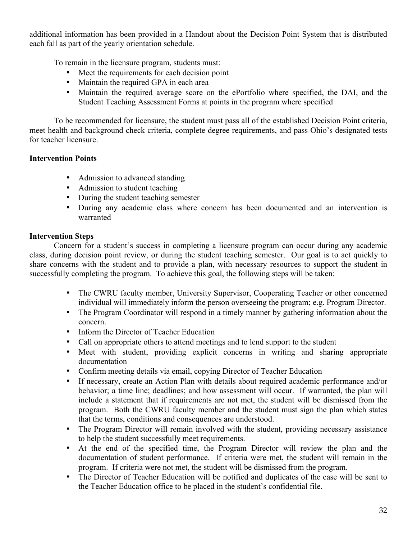additional information has been provided in a Handout about the Decision Point System that is distributed each fall as part of the yearly orientation schedule.

To remain in the licensure program, students must:

- Meet the requirements for each decision point
- Maintain the required GPA in each area
- Maintain the required average score on the ePortfolio where specified, the DAI, and the Student Teaching Assessment Forms at points in the program where specified

To be recommended for licensure, the student must pass all of the established Decision Point criteria, meet health and background check criteria, complete degree requirements, and pass Ohio's designated tests for teacher licensure.

## **Intervention Points**

- Admission to advanced standing
- Admission to student teaching
- During the student teaching semester
- During any academic class where concern has been documented and an intervention is warranted

## **Intervention Steps**

Concern for a student's success in completing a licensure program can occur during any academic class, during decision point review, or during the student teaching semester. Our goal is to act quickly to share concerns with the student and to provide a plan, with necessary resources to support the student in successfully completing the program. To achieve this goal, the following steps will be taken:

- The CWRU faculty member, University Supervisor, Cooperating Teacher or other concerned individual will immediately inform the person overseeing the program; e.g. Program Director.
- The Program Coordinator will respond in a timely manner by gathering information about the concern.
- Inform the Director of Teacher Education
- Call on appropriate others to attend meetings and to lend support to the student
- Meet with student, providing explicit concerns in writing and sharing appropriate documentation
- Confirm meeting details via email, copying Director of Teacher Education
- If necessary, create an Action Plan with details about required academic performance and/or behavior; a time line; deadlines; and how assessment will occur. If warranted, the plan will include a statement that if requirements are not met, the student will be dismissed from the program. Both the CWRU faculty member and the student must sign the plan which states that the terms, conditions and consequences are understood.
- The Program Director will remain involved with the student, providing necessary assistance to help the student successfully meet requirements.
- At the end of the specified time, the Program Director will review the plan and the documentation of student performance. If criteria were met, the student will remain in the program. If criteria were not met, the student will be dismissed from the program.
- The Director of Teacher Education will be notified and duplicates of the case will be sent to the Teacher Education office to be placed in the student's confidential file.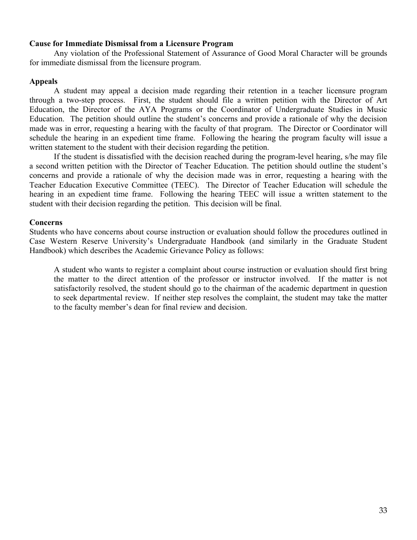#### **Cause for Immediate Dismissal from a Licensure Program**

Any violation of the Professional Statement of Assurance of Good Moral Character will be grounds for immediate dismissal from the licensure program.

#### **Appeals**

A student may appeal a decision made regarding their retention in a teacher licensure program through a two-step process. First, the student should file a written petition with the Director of Art Education, the Director of the AYA Programs or the Coordinator of Undergraduate Studies in Music Education. The petition should outline the student's concerns and provide a rationale of why the decision made was in error, requesting a hearing with the faculty of that program. The Director or Coordinator will schedule the hearing in an expedient time frame. Following the hearing the program faculty will issue a written statement to the student with their decision regarding the petition.

If the student is dissatisfied with the decision reached during the program-level hearing, s/he may file a second written petition with the Director of Teacher Education. The petition should outline the student's concerns and provide a rationale of why the decision made was in error, requesting a hearing with the Teacher Education Executive Committee (TEEC). The Director of Teacher Education will schedule the hearing in an expedient time frame. Following the hearing TEEC will issue a written statement to the student with their decision regarding the petition. This decision will be final.

#### **Concerns**

Students who have concerns about course instruction or evaluation should follow the procedures outlined in Case Western Reserve University's Undergraduate Handbook (and similarly in the Graduate Student Handbook) which describes the Academic Grievance Policy as follows:

A student who wants to register a complaint about course instruction or evaluation should first bring the matter to the direct attention of the professor or instructor involved. If the matter is not satisfactorily resolved, the student should go to the chairman of the academic department in question to seek departmental review. If neither step resolves the complaint, the student may take the matter to the faculty member's dean for final review and decision.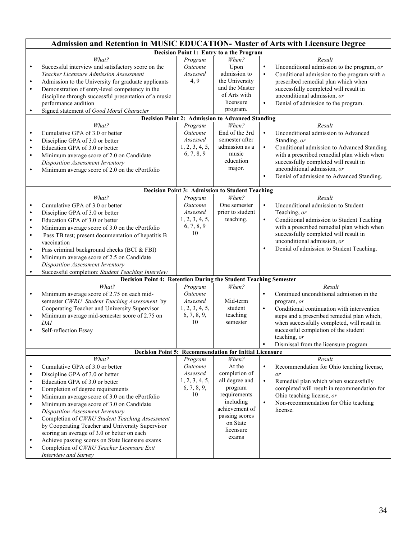|                                                                                                                   | Admission and Retention in MUSIC EDUCATION- Master of Arts with Licensure Degree                                                                                                                                                                                                                                                                                                                                                                                                                                                                                                                |                                                                                                                        |                                                                                                                                                                                                                                                                      |                                                                                                                                                                                                                                                                                                                                                                                                                                                                                                                                                                                                                           |  |
|-------------------------------------------------------------------------------------------------------------------|-------------------------------------------------------------------------------------------------------------------------------------------------------------------------------------------------------------------------------------------------------------------------------------------------------------------------------------------------------------------------------------------------------------------------------------------------------------------------------------------------------------------------------------------------------------------------------------------------|------------------------------------------------------------------------------------------------------------------------|----------------------------------------------------------------------------------------------------------------------------------------------------------------------------------------------------------------------------------------------------------------------|---------------------------------------------------------------------------------------------------------------------------------------------------------------------------------------------------------------------------------------------------------------------------------------------------------------------------------------------------------------------------------------------------------------------------------------------------------------------------------------------------------------------------------------------------------------------------------------------------------------------------|--|
|                                                                                                                   | Decision Point 1: Entry to a the Program                                                                                                                                                                                                                                                                                                                                                                                                                                                                                                                                                        |                                                                                                                        |                                                                                                                                                                                                                                                                      |                                                                                                                                                                                                                                                                                                                                                                                                                                                                                                                                                                                                                           |  |
| $\bullet$<br>$\bullet$<br>$\bullet$<br>$\bullet$<br>$\bullet$<br>$\bullet$<br>$\bullet$<br>$\bullet$<br>$\bullet$ | What?<br>Successful interview and satisfactory score on the<br>Teacher Licensure Admission Assessment<br>Admission to the University for graduate applicants<br>Demonstration of entry-level competency in the<br>discipline through successful presentation of a music<br>performance audition<br>Signed statement of Good Moral Character<br>What?<br>Cumulative GPA of 3.0 or better<br>Discipline GPA of 3.0 or better<br>Education GPA of 3.0 or better<br>Minimum average score of 2.0 on Candidate<br>Disposition Assessment Inventory<br>Minimum average score of 2.0 on the ePortfolio | Program<br><i><u>Outcome</u></i><br>Assessed<br>4, 9<br>Program<br>Outcome<br>Assessed<br>1, 2, 3, 4, 5,<br>6, 7, 8, 9 | When?<br>Upon<br>admission to<br>the University<br>and the Master<br>of Arts with<br>licensure<br>program.<br><b>Decision Point 2: Admission to Advanced Standing</b><br>When?<br>End of the 3rd<br>semester after<br>admission as a<br>music<br>education<br>major. | Result<br>$\bullet$<br>Unconditional admission to the program, or<br>Conditional admission to the program with a<br>$\bullet$<br>prescribed remedial plan which when<br>successfully completed will result in<br>unconditional admission, or<br>Denial of admission to the program.<br>$\bullet$<br>Result<br>Unconditional admission to Advanced<br>$\bullet$<br>Standing, or<br>Conditional admission to Advanced Standing<br>$\bullet$<br>with a prescribed remedial plan which when<br>successfully completed will result in<br>unconditional admission, or<br>Denial of admission to Advanced Standing.<br>$\bullet$ |  |
|                                                                                                                   |                                                                                                                                                                                                                                                                                                                                                                                                                                                                                                                                                                                                 |                                                                                                                        |                                                                                                                                                                                                                                                                      |                                                                                                                                                                                                                                                                                                                                                                                                                                                                                                                                                                                                                           |  |
| $\bullet$<br>$\bullet$<br>$\bullet$<br>$\bullet$<br>$\bullet$<br>$\bullet$<br>$\bullet$<br>$\bullet$              | What?<br>Cumulative GPA of 3.0 or better<br>Discipline GPA of 3.0 or better<br>Education GPA of 3.0 or better<br>Minimum average score of 3.0 on the ePortfolio<br>Pass TB test; present documentation of hepatitis B<br>vaccination<br>Pass criminal background checks (BCI & FBI)<br>Minimum average score of 2.5 on Candidate<br>Disposition Assessment Inventory<br>Successful completion: Student Teaching Interview                                                                                                                                                                       | Program<br>Outcome<br>Assessed<br>1, 2, 3, 4, 5,<br>6, 7, 8, 9<br>10                                                   | Decision Point 3: Admission to Student Teaching<br>When?<br>One semester<br>prior to student<br>teaching.                                                                                                                                                            | Result<br>Unconditional admission to Student<br>$\bullet$<br>Teaching, or<br>$\bullet$<br>Conditional admission to Student Teaching<br>with a prescribed remedial plan which when<br>successfully completed will result in<br>unconditional admission, or<br>Denial of admission to Student Teaching.<br>$\bullet$                                                                                                                                                                                                                                                                                                        |  |
|                                                                                                                   | <b>Decision Point 4: Retention During the Student Teaching Semester</b>                                                                                                                                                                                                                                                                                                                                                                                                                                                                                                                         |                                                                                                                        |                                                                                                                                                                                                                                                                      |                                                                                                                                                                                                                                                                                                                                                                                                                                                                                                                                                                                                                           |  |
| $\bullet$<br>$\bullet$<br>$\bullet$                                                                               | What?<br>Minimum average score of 2.75 on each mid-<br>semester CWRU Student Teaching Assessment by<br>Cooperating Teacher and University Supervisor<br>Minimum average mid-semester score of 2.75 on<br>DAI<br>Self-reflection Essay                                                                                                                                                                                                                                                                                                                                                           | Program<br>Outcome<br>Assessed<br>1, 2, 3, 4, 5,<br>6, 7, 8, 9,<br>10                                                  | When?<br>Mid-term<br>student<br>teaching<br>semester                                                                                                                                                                                                                 | Result<br>$\bullet$<br>Continued unconditional admission in the<br>program, or<br>$\bullet$<br>Conditional continuation with intervention<br>steps and a prescribed remedial plan which,<br>when successfully completed, will result in<br>successful completion of the student<br>teaching, or<br>Dismissal from the licensure program                                                                                                                                                                                                                                                                                   |  |
|                                                                                                                   | Decision Point 5: Recommendation for Initial Licensure                                                                                                                                                                                                                                                                                                                                                                                                                                                                                                                                          |                                                                                                                        |                                                                                                                                                                                                                                                                      |                                                                                                                                                                                                                                                                                                                                                                                                                                                                                                                                                                                                                           |  |
| ٠<br>$\bullet$<br>$\bullet$<br>$\bullet$<br>$\bullet$<br>$\bullet$<br>$\bullet$<br>$\bullet$<br>$\bullet$         | What?<br>Cumulative GPA of 3.0 or better<br>Discipline GPA of 3.0 or better<br>Education GPA of 3.0 or better<br>Completion of degree requirements<br>Minimum average score of 3.0 on the ePortfolio<br>Minimum average score of 3.0 on Candidate<br>Disposition Assessment Inventory<br>Completion of CWRU Student Teaching Assessment<br>by Cooperating Teacher and University Supervisor<br>scoring an average of 3.0 or better on each<br>Achieve passing scores on State licensure exams<br>Completion of CWRU Teacher Licensure Exit<br>Interview and Survey                              | Program<br>Outcome<br>Assessed<br>1, 2, 3, 4, 5,<br>6, 7, 8, 9,<br>10                                                  | When?<br>At the<br>completion of<br>all degree and<br>program<br>requirements<br>including<br>achievement of<br>passing scores<br>on State<br>licensure<br>exams                                                                                                     | Result<br>Recommendation for Ohio teaching license,<br>$\bullet$<br>or<br>$\bullet$<br>Remedial plan which when successfully<br>completed will result in recommendation for<br>Ohio teaching license, or<br>$\bullet$<br>Non-recommendation for Ohio teaching<br>license.                                                                                                                                                                                                                                                                                                                                                 |  |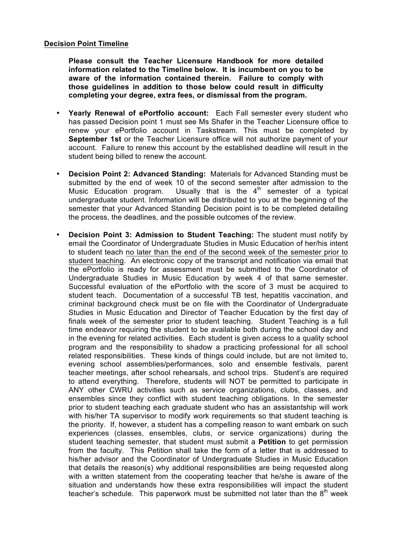#### **Decision Point Timeline**

**Please consult the Teacher Licensure Handbook for more detailed information related to the Timeline below. It is incumbent on you to be aware of the information contained therein. Failure to comply with those guidelines in addition to those below could result in difficulty completing your degree, extra fees, or dismissal from the program.** 

- **Yearly Renewal of ePortfolio account:** Each Fall semester every student who has passed Decision point 1 must see Ms Shafer in the Teacher Licensure office to renew your ePortfolio account in Taskstream. This must be completed by **September 1st** or the Teacher Licensure office will not authorize payment of your account. Failure to renew this account by the established deadline will result in the student being billed to renew the account.
- **Decision Point 2: Advanced Standing:** Materials for Advanced Standing must be submitted by the end of week 10 of the second semester after admission to the Music Education program. Usually that is the  $4<sup>th</sup>$  semester of a typical undergraduate student. Information will be distributed to you at the beginning of the semester that your Advanced Standing Decision point is to be completed detailing the process, the deadlines, and the possible outcomes of the review.
- **Decision Point 3: Admission to Student Teaching:** The student must notify by email the Coordinator of Undergraduate Studies in Music Education of her/his intent to student teach no later than the end of the second week of the semester prior to student teaching. An electronic copy of the transcript and notification via email that the ePortfolio is ready for assessment must be submitted to the Coordinator of Undergraduate Studies in Music Education by week 4 of that same semester. Successful evaluation of the ePortfolio with the score of 3 must be acquired to student teach. Documentation of a successful TB test, hepatitis vaccination, and criminal background check must be on file with the Coordinator of Undergraduate Studies in Music Education and Director of Teacher Education by the first day of finals week of the semester prior to student teaching. Student Teaching is a full time endeavor requiring the student to be available both during the school day and in the evening for related activities. Each student is given access to a quality school program and the responsibility to shadow a practicing professional for all school related responsibilities. These kinds of things could include, but are not limited to, evening school assemblies/performances, solo and ensemble festivals, parent teacher meetings, after school rehearsals, and school trips. Student's are required to attend everything. Therefore, students will NOT be permitted to participate in ANY other CWRU activities such as service organizations, clubs, classes, and ensembles since they conflict with student teaching obligations. In the semester prior to student teaching each graduate student who has an assistantship will work with his/her TA supervisor to modify work requirements so that student teaching is the priority. If, however, a student has a compelling reason to want embark on such experiences (classes, ensembles, clubs, or service organizations) during the student teaching semester, that student must submit a **Petition** to get permission from the faculty. This Petition shall take the form of a letter that is addressed to his/her advisor and the Coordinator of Undergraduate Studies in Music Education that details the reason(s) why additional responsibilities are being requested along with a written statement from the cooperating teacher that he/she is aware of the situation and understands how these extra responsibilities will impact the student teacher's schedule. This paperwork must be submitted not later than the  $8<sup>th</sup>$  week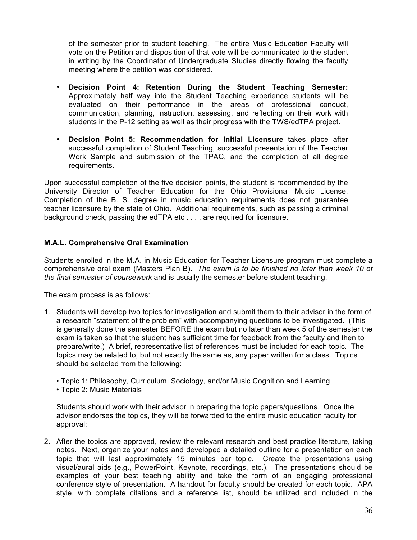of the semester prior to student teaching. The entire Music Education Faculty will vote on the Petition and disposition of that vote will be communicated to the student in writing by the Coordinator of Undergraduate Studies directly flowing the faculty meeting where the petition was considered.

- **Decision Point 4: Retention During the Student Teaching Semester:**  Approximately half way into the Student Teaching experience students will be evaluated on their performance in the areas of professional conduct, communication, planning, instruction, assessing, and reflecting on their work with students in the P-12 setting as well as their progress with the TWS/edTPA project.
- **Decision Point 5: Recommendation for Initial Licensure** takes place after successful completion of Student Teaching, successful presentation of the Teacher Work Sample and submission of the TPAC, and the completion of all degree requirements.

Upon successful completion of the five decision points, the student is recommended by the University Director of Teacher Education for the Ohio Provisional Music License. Completion of the B. S. degree in music education requirements does not guarantee teacher licensure by the state of Ohio. Additional requirements, such as passing a criminal background check, passing the edTPA etc . . . , are required for licensure.

#### **M.A.L. Comprehensive Oral Examination**

Students enrolled in the M.A. in Music Education for Teacher Licensure program must complete a comprehensive oral exam (Masters Plan B). *The exam is to be finished no later than week 10 of the final semester of coursework* and is usually the semester before student teaching.

The exam process is as follows:

- 1. Students will develop two topics for investigation and submit them to their advisor in the form of a research "statement of the problem" with accompanying questions to be investigated. (This is generally done the semester BEFORE the exam but no later than week 5 of the semester the exam is taken so that the student has sufficient time for feedback from the faculty and then to prepare/write.) A brief, representative list of references must be included for each topic. The topics may be related to, but not exactly the same as, any paper written for a class. Topics should be selected from the following:
	- Topic 1: Philosophy, Curriculum, Sociology, and/or Music Cognition and Learning
	- Topic 2: Music Materials

Students should work with their advisor in preparing the topic papers/questions. Once the advisor endorses the topics, they will be forwarded to the entire music education faculty for approval:

2. After the topics are approved, review the relevant research and best practice literature, taking notes. Next, organize your notes and developed a detailed outline for a presentation on each topic that will last approximately 15 minutes per topic. Create the presentations using visual/aural aids (e.g., PowerPoint, Keynote, recordings, etc.). The presentations should be examples of your best teaching ability and take the form of an engaging professional conference style of presentation. A handout for faculty should be created for each topic. APA style, with complete citations and a reference list, should be utilized and included in the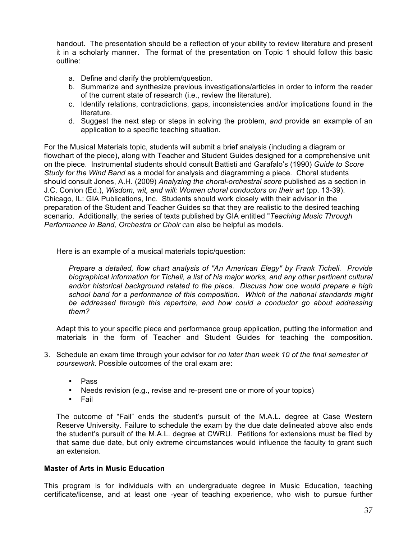handout. The presentation should be a reflection of your ability to review literature and present it in a scholarly manner. The format of the presentation on Topic 1 should follow this basic outline:

- a. Define and clarify the problem/question.
- b. Summarize and synthesize previous investigations/articles in order to inform the reader of the current state of research (i.e., review the literature).
- c. Identify relations, contradictions, gaps, inconsistencies and/or implications found in the literature.
- d. Suggest the next step or steps in solving the problem, *and* provide an example of an application to a specific teaching situation.

For the Musical Materials topic, students will submit a brief analysis (including a diagram or flowchart of the piece), along with Teacher and Student Guides designed for a comprehensive unit on the piece. Instrumental students should consult Battisti and Garafalo's (1990) *Guide to Score Study for the Wind Band* as a model for analysis and diagramming a piece. Choral students should consult Jones, A.H. (2009) *Analyzing the choral-orchestral score* published as a section in J.C. Conlon (Ed.), *Wisdom, wit, and will: Women choral conductors on their art* (pp. 13-39). Chicago, IL: GIA Publications, Inc. Students should work closely with their advisor in the preparation of the Student and Teacher Guides so that they are realistic to the desired teaching scenario. Additionally, the series of texts published by GIA entitled "*Teaching Music Through Performance in Band, Orchestra or Choir* can also be helpful as models.

Here is an example of a musical materials topic/question:

*Prepare a detailed, flow chart analysis of "An American Elegy" by Frank Ticheli. Provide biographical information for Ticheli, a list of his major works, and any other pertinent cultural and/or historical background related to the piece. Discuss how one would prepare a high school band for a performance of this composition. Which of the national standards might be addressed through this repertoire, and how could a conductor go about addressing them?*

Adapt this to your specific piece and performance group application, putting the information and materials in the form of Teacher and Student Guides for teaching the composition.

- 3. Schedule an exam time through your advisor for *no later than week 10 of the final semester of coursework*. Possible outcomes of the oral exam are:
	- Pass
	- Needs revision (e.g., revise and re-present one or more of your topics)
	- Fail

The outcome of "Fail" ends the student's pursuit of the M.A.L. degree at Case Western Reserve University. Failure to schedule the exam by the due date delineated above also ends the student's pursuit of the M.A.L. degree at CWRU. Petitions for extensions must be filed by that same due date, but only extreme circumstances would influence the faculty to grant such an extension.

#### **Master of Arts in Music Education**

This program is for individuals with an undergraduate degree in Music Education, teaching certificate/license, and at least one -year of teaching experience, who wish to pursue further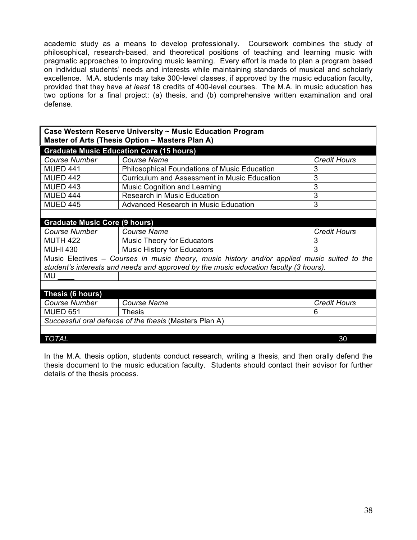academic study as a means to develop professionally. Coursework combines the study of philosophical, research-based, and theoretical positions of teaching and learning music with pragmatic approaches to improving music learning. Every effort is made to plan a program based on individual students' needs and interests while maintaining standards of musical and scholarly excellence. M.A. students may take 300-level classes, if approved by the music education faculty, provided that they have *at least* 18 credits of 400-level courses. The M.A. in music education has two options for a final project: (a) thesis, and (b) comprehensive written examination and oral defense.

| Case Western Reserve University ~ Music Education Program<br>Master of Arts (Thesis Option - Masters Plan A)                                                                        |                                                     |                     |  |  |
|-------------------------------------------------------------------------------------------------------------------------------------------------------------------------------------|-----------------------------------------------------|---------------------|--|--|
|                                                                                                                                                                                     | <b>Graduate Music Education Core (15 hours)</b>     |                     |  |  |
| <b>Course Number</b>                                                                                                                                                                | <b>Course Name</b>                                  | <b>Credit Hours</b> |  |  |
| <b>MUED 441</b>                                                                                                                                                                     | <b>Philosophical Foundations of Music Education</b> | 3                   |  |  |
| <b>MUED 442</b>                                                                                                                                                                     | Curriculum and Assessment in Music Education        | 3                   |  |  |
| <b>MUED 443</b>                                                                                                                                                                     | <b>Music Cognition and Learning</b>                 | 3                   |  |  |
| <b>MUED 444</b>                                                                                                                                                                     | <b>Research in Music Education</b>                  | 3                   |  |  |
| <b>MUED 445</b>                                                                                                                                                                     | <b>Advanced Research in Music Education</b>         | 3                   |  |  |
|                                                                                                                                                                                     |                                                     |                     |  |  |
| <b>Graduate Music Core (9 hours)</b>                                                                                                                                                |                                                     |                     |  |  |
| <b>Course Number</b>                                                                                                                                                                | <b>Course Name</b>                                  | <b>Credit Hours</b> |  |  |
| <b>MUTH 422</b>                                                                                                                                                                     | <b>Music Theory for Educators</b>                   | 3                   |  |  |
| <b>MUHI 430</b>                                                                                                                                                                     | <b>Music History for Educators</b>                  | 3                   |  |  |
| Music Electives – Courses in music theory, music history and/or applied music suited to the<br>student's interests and needs and approved by the music education faculty (3 hours). |                                                     |                     |  |  |
| MU                                                                                                                                                                                  |                                                     |                     |  |  |
|                                                                                                                                                                                     |                                                     |                     |  |  |
| Thesis (6 hours)                                                                                                                                                                    |                                                     |                     |  |  |
| <b>Course Number</b>                                                                                                                                                                | <b>Course Name</b>                                  | <b>Credit Hours</b> |  |  |
| <b>MUED 651</b>                                                                                                                                                                     | <b>Thesis</b>                                       | 6                   |  |  |
| Successful oral defense of the thesis (Masters Plan A)                                                                                                                              |                                                     |                     |  |  |
|                                                                                                                                                                                     |                                                     |                     |  |  |
| TOTAL                                                                                                                                                                               | 30                                                  |                     |  |  |

In the M.A. thesis option, students conduct research, writing a thesis, and then orally defend the thesis document to the music education faculty. Students should contact their advisor for further details of the thesis process.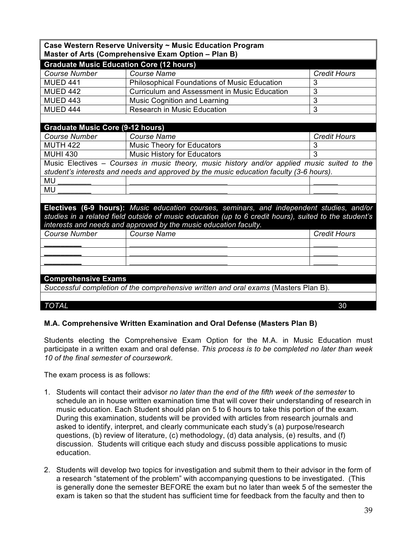| Case Western Reserve University ~ Music Education Program                           |                                                                                                       |                     |  |
|-------------------------------------------------------------------------------------|-------------------------------------------------------------------------------------------------------|---------------------|--|
| Master of Arts (Comprehensive Exam Option - Plan B)                                 |                                                                                                       |                     |  |
| <b>Graduate Music Education Core (12 hours)</b>                                     |                                                                                                       |                     |  |
| <b>Course Number</b>                                                                | <b>Course Name</b>                                                                                    | <b>Credit Hours</b> |  |
| <b>MUED 441</b>                                                                     | <b>Philosophical Foundations of Music Education</b>                                                   | 3                   |  |
| <b>MUED 442</b>                                                                     | <b>Curriculum and Assessment in Music Education</b>                                                   | 3                   |  |
| <b>MUED 443</b>                                                                     | Music Cognition and Learning                                                                          | $\overline{3}$      |  |
| <b>MUED 444</b>                                                                     | Research in Music Education                                                                           | 3                   |  |
|                                                                                     |                                                                                                       |                     |  |
| <b>Graduate Music Core (9-12 hours)</b>                                             |                                                                                                       |                     |  |
| <b>Course Number</b>                                                                | <b>Course Name</b>                                                                                    | <b>Credit Hours</b> |  |
| <b>MUTH 422</b>                                                                     | <b>Music Theory for Educators</b>                                                                     | 3                   |  |
| <b>MUHI 430</b>                                                                     | <b>Music History for Educators</b>                                                                    | $\overline{3}$      |  |
|                                                                                     | Music Electives - Courses in music theory, music history and/or applied music suited to the           |                     |  |
|                                                                                     | student's interests and needs and approved by the music education faculty (3-6 hours).                |                     |  |
| MU                                                                                  |                                                                                                       |                     |  |
| <b>MU</b>                                                                           |                                                                                                       |                     |  |
|                                                                                     |                                                                                                       |                     |  |
|                                                                                     | Electives (6-9 hours): Music education courses, seminars, and independent studies, and/or             |                     |  |
|                                                                                     | studies in a related field outside of music education (up to 6 credit hours), suited to the student's |                     |  |
|                                                                                     | interests and needs and approved by the music education faculty.                                      |                     |  |
| <b>Course Number</b>                                                                | <b>Course Name</b>                                                                                    | <b>Credit Hours</b> |  |
|                                                                                     |                                                                                                       |                     |  |
|                                                                                     |                                                                                                       |                     |  |
|                                                                                     |                                                                                                       |                     |  |
|                                                                                     |                                                                                                       |                     |  |
| <b>Comprehensive Exams</b>                                                          |                                                                                                       |                     |  |
| Successful completion of the comprehensive written and oral exams (Masters Plan B). |                                                                                                       |                     |  |
|                                                                                     |                                                                                                       |                     |  |
| <b>TOTAL</b>                                                                        |                                                                                                       | 30                  |  |

#### **M.A. Comprehensive Written Examination and Oral Defense (Masters Plan B)**

Students electing the Comprehensive Exam Option for the M.A. in Music Education must participate in a written exam and oral defense. *This process is to be completed no later than week 10 of the final semester of coursework*.

The exam process is as follows:

- 1. Students will contact their advisor *no later than the end of the fifth week of the semester* to schedule an in house written examination time that will cover their understanding of research in music education. Each Student should plan on 5 to 6 hours to take this portion of the exam. During this examination, students will be provided with articles from research journals and asked to identify, interpret, and clearly communicate each study's (a) purpose/research questions, (b) review of literature, (c) methodology, (d) data analysis, (e) results, and (f) discussion. Students will critique each study and discuss possible applications to music education.
- 2. Students will develop two topics for investigation and submit them to their advisor in the form of a research "statement of the problem" with accompanying questions to be investigated. (This is generally done the semester BEFORE the exam but no later than week 5 of the semester the exam is taken so that the student has sufficient time for feedback from the faculty and then to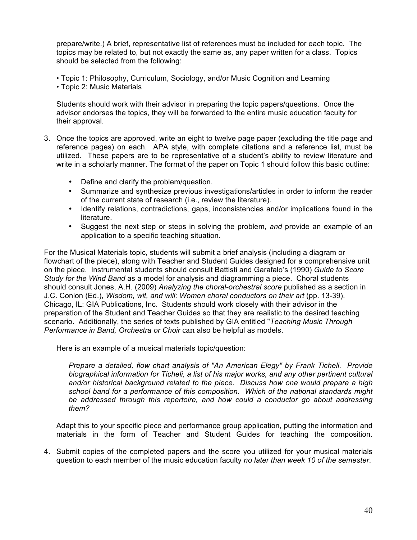prepare/write.) A brief, representative list of references must be included for each topic. The topics may be related to, but not exactly the same as, any paper written for a class. Topics should be selected from the following:

- Topic 1: Philosophy, Curriculum, Sociology, and/or Music Cognition and Learning
- Topic 2: Music Materials

Students should work with their advisor in preparing the topic papers/questions. Once the advisor endorses the topics, they will be forwarded to the entire music education faculty for their approval.

- 3. Once the topics are approved, write an eight to twelve page paper (excluding the title page and reference pages) on each. APA style, with complete citations and a reference list, must be utilized. These papers are to be representative of a student's ability to review literature and write in a scholarly manner. The format of the paper on Topic 1 should follow this basic outline:
	- Define and clarify the problem/question.
	- Summarize and synthesize previous investigations/articles in order to inform the reader of the current state of research (i.e., review the literature).
	- Identify relations, contradictions, gaps, inconsistencies and/or implications found in the literature.
	- Suggest the next step or steps in solving the problem, *and* provide an example of an application to a specific teaching situation.

For the Musical Materials topic, students will submit a brief analysis (including a diagram or flowchart of the piece), along with Teacher and Student Guides designed for a comprehensive unit on the piece. Instrumental students should consult Battisti and Garafalo's (1990) *Guide to Score Study for the Wind Band* as a model for analysis and diagramming a piece. Choral students should consult Jones, A.H. (2009) *Analyzing the choral-orchestral score* published as a section in J.C. Conlon (Ed.), *Wisdom, wit, and will: Women choral conductors on their art* (pp. 13-39). Chicago, IL: GIA Publications, Inc. Students should work closely with their advisor in the preparation of the Student and Teacher Guides so that they are realistic to the desired teaching scenario. Additionally, the series of texts published by GIA entitled "*Teaching Music Through Performance in Band, Orchestra or Choir* can also be helpful as models.

Here is an example of a musical materials topic/question:

*Prepare a detailed, flow chart analysis of "An American Elegy" by Frank Ticheli. Provide biographical information for Ticheli, a list of his major works, and any other pertinent cultural and/or historical background related to the piece. Discuss how one would prepare a high school band for a performance of this composition. Which of the national standards might be addressed through this repertoire, and how could a conductor go about addressing them?*

Adapt this to your specific piece and performance group application, putting the information and materials in the form of Teacher and Student Guides for teaching the composition.

4. Submit copies of the completed papers and the score you utilized for your musical materials question to each member of the music education faculty *no later than week 10 of the semester*.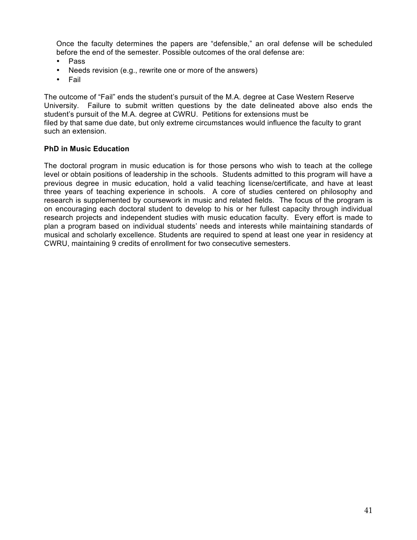Once the faculty determines the papers are "defensible," an oral defense will be scheduled before the end of the semester. Possible outcomes of the oral defense are:

- Pass
- Needs revision (e.g., rewrite one or more of the answers)
- Fail

The outcome of "Fail" ends the student's pursuit of the M.A. degree at Case Western Reserve University. Failure to submit written questions by the date delineated above also ends the student's pursuit of the M.A. degree at CWRU. Petitions for extensions must be filed by that same due date, but only extreme circumstances would influence the faculty to grant such an extension.

#### **PhD in Music Education**

The doctoral program in music education is for those persons who wish to teach at the college level or obtain positions of leadership in the schools. Students admitted to this program will have a previous degree in music education, hold a valid teaching license/certificate, and have at least three years of teaching experience in schools. A core of studies centered on philosophy and research is supplemented by coursework in music and related fields. The focus of the program is on encouraging each doctoral student to develop to his or her fullest capacity through individual research projects and independent studies with music education faculty. Every effort is made to plan a program based on individual students' needs and interests while maintaining standards of musical and scholarly excellence. Students are required to spend at least one year in residency at CWRU, maintaining 9 credits of enrollment for two consecutive semesters.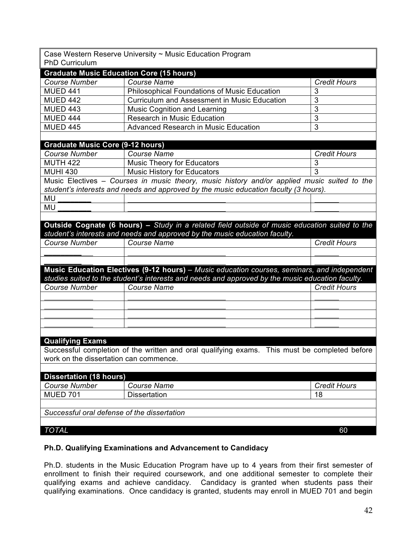| Case Western Reserve University ~ Music Education Program |                                                                                                  |                               |  |  |
|-----------------------------------------------------------|--------------------------------------------------------------------------------------------------|-------------------------------|--|--|
| <b>PhD Curriculum</b>                                     |                                                                                                  |                               |  |  |
| <b>Graduate Music Education Core (15 hours)</b>           |                                                                                                  |                               |  |  |
| <b>Course Number</b>                                      | <b>Course Name</b>                                                                               | <b>Credit Hours</b>           |  |  |
| <b>MUED 441</b>                                           | <b>Philosophical Foundations of Music Education</b>                                              | 3                             |  |  |
| <b>MUED 442</b>                                           | <b>Curriculum and Assessment in Music Education</b>                                              | 3                             |  |  |
| <b>MUED 443</b>                                           | <b>Music Cognition and Learning</b>                                                              | $\overline{3}$                |  |  |
| <b>MUED 444</b>                                           | Research in Music Education                                                                      | 3                             |  |  |
| <b>MUED 445</b>                                           | Advanced Research in Music Education                                                             | 3                             |  |  |
|                                                           |                                                                                                  |                               |  |  |
| <b>Graduate Music Core (9-12 hours)</b>                   |                                                                                                  |                               |  |  |
| <b>Course Number</b>                                      | <b>Course Name</b>                                                                               | <b>Credit Hours</b>           |  |  |
| <b>MUTH 422</b>                                           | <b>Music Theory for Educators</b>                                                                | 3                             |  |  |
| <b>MUHI 430</b>                                           | <b>Music History for Educators</b>                                                               | $\overline{3}$                |  |  |
|                                                           | Music Electives - Courses in music theory, music history and/or applied music suited to the      |                               |  |  |
|                                                           | student's interests and needs and approved by the music education faculty (3 hours).             |                               |  |  |
| MU                                                        |                                                                                                  |                               |  |  |
| MU                                                        |                                                                                                  |                               |  |  |
|                                                           |                                                                                                  |                               |  |  |
|                                                           | Outside Cognate (6 hours) - Study in a related field outside of music education suited to the    |                               |  |  |
|                                                           | student's interests and needs and approved by the music education faculty.                       |                               |  |  |
| <b>Course Number</b>                                      | <b>Course Name</b>                                                                               | <b>Credit Hours</b>           |  |  |
|                                                           |                                                                                                  |                               |  |  |
|                                                           |                                                                                                  |                               |  |  |
|                                                           | Music Education Electives (9-12 hours) - Music education courses, seminars, and independent      |                               |  |  |
|                                                           | studies suited to the student's interests and needs and approved by the music education faculty. |                               |  |  |
| <b>Course Number</b>                                      | <b>Course Name</b>                                                                               | <b>Credit Hours</b>           |  |  |
|                                                           |                                                                                                  |                               |  |  |
|                                                           |                                                                                                  |                               |  |  |
|                                                           |                                                                                                  |                               |  |  |
|                                                           |                                                                                                  |                               |  |  |
|                                                           |                                                                                                  |                               |  |  |
| <b>Qualifying Exams</b>                                   |                                                                                                  |                               |  |  |
|                                                           | Successful completion of the written and oral qualifying exams.                                  | This must be completed before |  |  |
| work on the dissertation can commence.                    |                                                                                                  |                               |  |  |
|                                                           |                                                                                                  |                               |  |  |
| <b>Dissertation (18 hours)</b>                            |                                                                                                  |                               |  |  |
| <b>Course Number</b>                                      | <b>Course Name</b>                                                                               | <b>Credit Hours</b>           |  |  |
| <b>MUED 701</b>                                           | <b>Dissertation</b>                                                                              | 18                            |  |  |
|                                                           |                                                                                                  |                               |  |  |
| Successful oral defense of the dissertation               |                                                                                                  |                               |  |  |
|                                                           |                                                                                                  |                               |  |  |
| <b>TOTAL</b>                                              |                                                                                                  | 60                            |  |  |
|                                                           |                                                                                                  |                               |  |  |

# **Ph.D. Qualifying Examinations and Advancement to Candidacy**

Ph.D. students in the Music Education Program have up to 4 years from their first semester of enrollment to finish their required coursework, and one additional semester to complete their qualifying exams and achieve candidacy. Candidacy is granted when students pass their qualifying examinations. Once candidacy is granted, students may enroll in MUED 701 and begin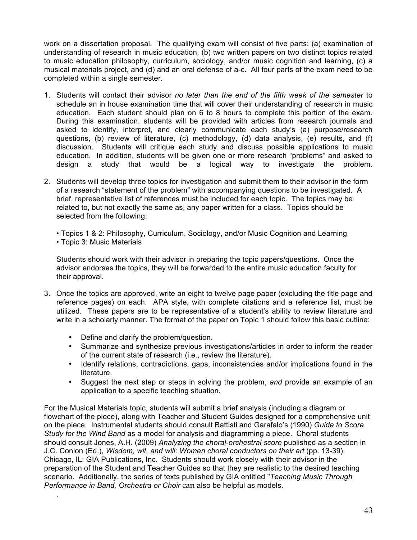work on a dissertation proposal. The qualifying exam will consist of five parts: (a) examination of understanding of research in music education, (b) two written papers on two distinct topics related to music education philosophy, curriculum, sociology, and/or music cognition and learning, (c) a musical materials project, and (d) and an oral defense of a-c. All four parts of the exam need to be completed within a single semester.

- 1. Students will contact their advisor *no later than the end of the fifth week of the semester* to schedule an in house examination time that will cover their understanding of research in music education. Each student should plan on 6 to 8 hours to complete this portion of the exam. During this examination, students will be provided with articles from research journals and asked to identify, interpret, and clearly communicate each study's (a) purpose/research questions, (b) review of literature, (c) methodology, (d) data analysis, (e) results, and (f) discussion. Students will critique each study and discuss possible applications to music education. In addition, students will be given one or more research "problems" and asked to design a study that would be a logical way to investigate the problem.
- 2. Students will develop three topics for investigation and submit them to their advisor in the form of a research "statement of the problem" with accompanying questions to be investigated. A brief, representative list of references must be included for each topic. The topics may be related to, but not exactly the same as, any paper written for a class. Topics should be selected from the following:

• Topics 1 & 2: Philosophy, Curriculum, Sociology, and/or Music Cognition and Learning • Topic 3: Music Materials

Students should work with their advisor in preparing the topic papers/questions. Once the advisor endorses the topics, they will be forwarded to the entire music education faculty for their approval.

- 3. Once the topics are approved, write an eight to twelve page paper (excluding the title page and reference pages) on each. APA style, with complete citations and a reference list, must be utilized. These papers are to be representative of a student's ability to review literature and write in a scholarly manner. The format of the paper on Topic 1 should follow this basic outline:
	- Define and clarify the problem/question.

.

- Summarize and synthesize previous investigations/articles in order to inform the reader of the current state of research (i.e., review the literature).
- Identify relations, contradictions, gaps, inconsistencies and/or implications found in the literature.
- Suggest the next step or steps in solving the problem, *and* provide an example of an application to a specific teaching situation.

For the Musical Materials topic, students will submit a brief analysis (including a diagram or flowchart of the piece), along with Teacher and Student Guides designed for a comprehensive unit on the piece. Instrumental students should consult Battisti and Garafalo's (1990) *Guide to Score Study for the Wind Band* as a model for analysis and diagramming a piece. Choral students should consult Jones, A.H. (2009) *Analyzing the choral-orchestral score* published as a section in J.C. Conlon (Ed.), *Wisdom, wit, and will: Women choral conductors on their art* (pp. 13-39). Chicago, IL: GIA Publications, Inc. Students should work closely with their advisor in the preparation of the Student and Teacher Guides so that they are realistic to the desired teaching scenario. Additionally, the series of texts published by GIA entitled "*Teaching Music Through Performance in Band, Orchestra or Choir* can also be helpful as models.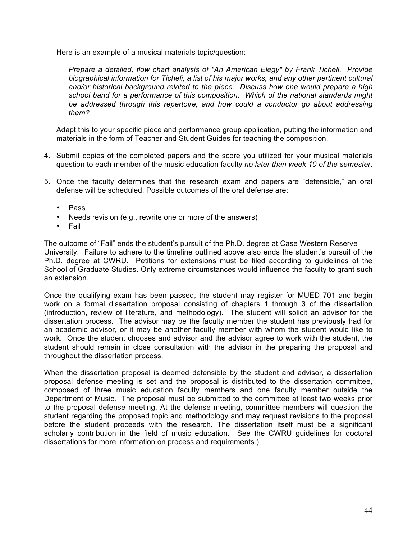Here is an example of a musical materials topic/question:

*Prepare a detailed, flow chart analysis of "An American Elegy" by Frank Ticheli. Provide biographical information for Ticheli, a list of his major works, and any other pertinent cultural and/or historical background related to the piece. Discuss how one would prepare a high school band for a performance of this composition. Which of the national standards might be addressed through this repertoire, and how could a conductor go about addressing them?*

Adapt this to your specific piece and performance group application, putting the information and materials in the form of Teacher and Student Guides for teaching the composition.

- 4. Submit copies of the completed papers and the score you utilized for your musical materials question to each member of the music education faculty *no later than week 10 of the semester*.
- 5. Once the faculty determines that the research exam and papers are "defensible," an oral defense will be scheduled. Possible outcomes of the oral defense are:
	- Pass
	- Needs revision (e.g., rewrite one or more of the answers)
	- Fail

The outcome of "Fail" ends the student's pursuit of the Ph.D. degree at Case Western Reserve University. Failure to adhere to the timeline outlined above also ends the student's pursuit of the Ph.D. degree at CWRU. Petitions for extensions must be filed according to guidelines of the School of Graduate Studies. Only extreme circumstances would influence the faculty to grant such an extension.

Once the qualifying exam has been passed, the student may register for MUED 701 and begin work on a formal dissertation proposal consisting of chapters 1 through 3 of the dissertation (introduction, review of literature, and methodology). The student will solicit an advisor for the dissertation process. The advisor may be the faculty member the student has previously had for an academic advisor, or it may be another faculty member with whom the student would like to work. Once the student chooses and advisor and the advisor agree to work with the student, the student should remain in close consultation with the advisor in the preparing the proposal and throughout the dissertation process.

When the dissertation proposal is deemed defensible by the student and advisor, a dissertation proposal defense meeting is set and the proposal is distributed to the dissertation committee, composed of three music education faculty members and one faculty member outside the Department of Music. The proposal must be submitted to the committee at least two weeks prior to the proposal defense meeting. At the defense meeting, committee members will question the student regarding the proposed topic and methodology and may request revisions to the proposal before the student proceeds with the research. The dissertation itself must be a significant scholarly contribution in the field of music education. See the CWRU guidelines for doctoral dissertations for more information on process and requirements.)